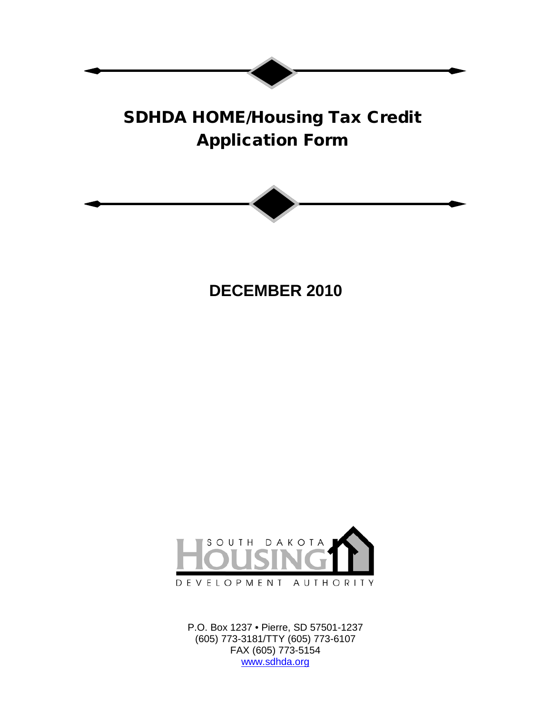# SDHDA HOME/Housing Tax Credit Application Form



**DECEMBER 2010**



P.O. Box 1237 • Pierre, SD 57501-1237 (605) 773-3181/TTY (605) 773-6107 FAX (605) 773-5154 [www.sdhda.org](http://www.sdhda.org/)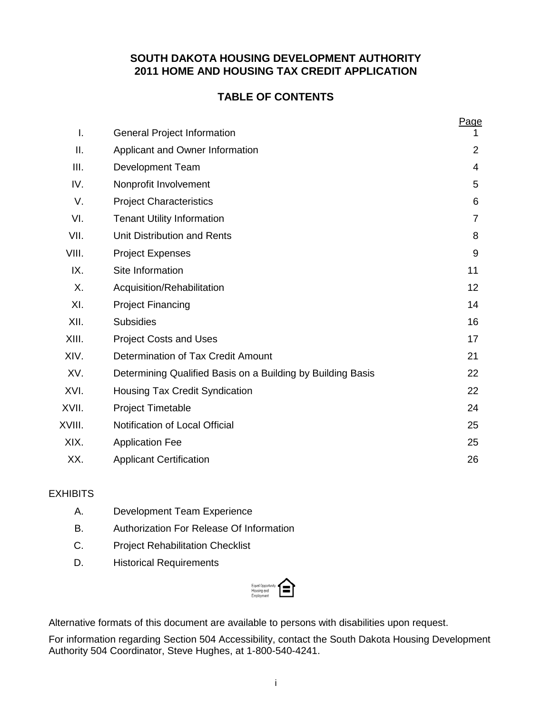## **SOUTH DAKOTA HOUSING DEVELOPMENT AUTHORITY 2011 HOME AND HOUSING TAX CREDIT APPLICATION**

# **TABLE OF CONTENTS**

|        |                                                             | Page           |
|--------|-------------------------------------------------------------|----------------|
| I.     | <b>General Project Information</b>                          | 1              |
| ΙΙ.    | Applicant and Owner Information                             | $\overline{2}$ |
| III.   | <b>Development Team</b>                                     | $\overline{4}$ |
| IV.    | Nonprofit Involvement                                       | 5              |
| V.     | <b>Project Characteristics</b>                              | 6              |
| VI.    | <b>Tenant Utility Information</b>                           | $\overline{7}$ |
| VII.   | Unit Distribution and Rents                                 | 8              |
| VIII.  | <b>Project Expenses</b>                                     | 9              |
| IX.    | Site Information                                            | 11             |
| Χ.     | Acquisition/Rehabilitation                                  | 12             |
| XI.    | <b>Project Financing</b>                                    | 14             |
| XII.   | <b>Subsidies</b>                                            | 16             |
| XIII.  | <b>Project Costs and Uses</b>                               | 17             |
| XIV.   | Determination of Tax Credit Amount                          | 21             |
| XV.    | Determining Qualified Basis on a Building by Building Basis | 22             |
| XVI.   | <b>Housing Tax Credit Syndication</b>                       | 22             |
| XVII.  | <b>Project Timetable</b>                                    | 24             |
| XVIII. | Notification of Local Official                              | 25             |
| XIX.   | <b>Application Fee</b>                                      | 25             |
| XX.    | <b>Applicant Certification</b>                              | 26             |

## **EXHIBITS**

- A. Development Team Experience
- B. Authorization For Release Of Information
- C. Project Rehabilitation Checklist
- D. Historical Requirements



Alternative formats of this document are available to persons with disabilities upon request.

For information regarding Section 504 Accessibility, contact the South Dakota Housing Development Authority 504 Coordinator, Steve Hughes, at 1-800-540-4241.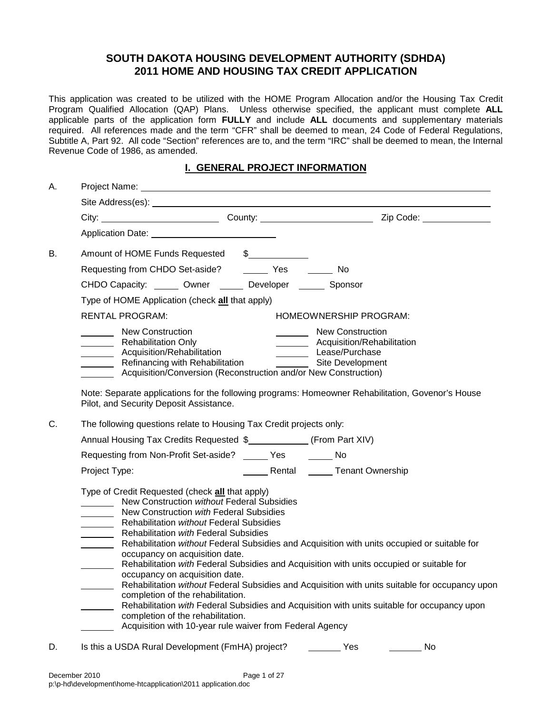## **SOUTH DAKOTA HOUSING DEVELOPMENT AUTHORITY (SDHDA) 2011 HOME AND HOUSING TAX CREDIT APPLICATION**

This application was created to be utilized with the HOME Program Allocation and/or the Housing Tax Credit Program Qualified Allocation (QAP) Plans. Unless otherwise specified, the applicant must complete **ALL** applicable parts of the application form **FULLY** and include **ALL** documents and supplementary materials required. All references made and the term "CFR" shall be deemed to mean, 24 Code of Federal Regulations, Subtitle A, Part 92. All code "Section" references are to, and the term "IRC" shall be deemed to mean, the Internal Revenue Code of 1986, as amended.

## **I. GENERAL PROJECT INFORMATION**

| А. |                                                                                                                                                                                                                                                                                                                                                                                                                                                                                                                                                                                                                                                                                                                                      |                                                           |                                                                                                 |
|----|--------------------------------------------------------------------------------------------------------------------------------------------------------------------------------------------------------------------------------------------------------------------------------------------------------------------------------------------------------------------------------------------------------------------------------------------------------------------------------------------------------------------------------------------------------------------------------------------------------------------------------------------------------------------------------------------------------------------------------------|-----------------------------------------------------------|-------------------------------------------------------------------------------------------------|
|    | Site Address(es): Note and the set of the set of the set of the set of the set of the set of the set of the set of the set of the set of the set of the set of the set of the set of the set of the set of the set of the set                                                                                                                                                                                                                                                                                                                                                                                                                                                                                                        |                                                           |                                                                                                 |
|    |                                                                                                                                                                                                                                                                                                                                                                                                                                                                                                                                                                                                                                                                                                                                      |                                                           |                                                                                                 |
|    | Application Date: Application Date:                                                                                                                                                                                                                                                                                                                                                                                                                                                                                                                                                                                                                                                                                                  |                                                           |                                                                                                 |
| В. | Amount of HOME Funds Requested \$                                                                                                                                                                                                                                                                                                                                                                                                                                                                                                                                                                                                                                                                                                    |                                                           |                                                                                                 |
|    | Requesting from CHDO Set-aside? ________ Yes _______ No                                                                                                                                                                                                                                                                                                                                                                                                                                                                                                                                                                                                                                                                              |                                                           |                                                                                                 |
|    | CHDO Capacity: ______ Owner ______ Developer ______ Sponsor                                                                                                                                                                                                                                                                                                                                                                                                                                                                                                                                                                                                                                                                          |                                                           |                                                                                                 |
|    | Type of HOME Application (check all that apply)                                                                                                                                                                                                                                                                                                                                                                                                                                                                                                                                                                                                                                                                                      |                                                           |                                                                                                 |
|    | <b>RENTAL PROGRAM:</b>                                                                                                                                                                                                                                                                                                                                                                                                                                                                                                                                                                                                                                                                                                               | HOMEOWNERSHIP PROGRAM:                                    |                                                                                                 |
|    | New Construction<br>Rehabilitation Only<br>Acquisition/Rehabilitation<br>Acquisition/Rehabilitation<br>Refinancing with Rehabilitation<br>Refinancing with Rehabilitation<br>Site Development<br>Acquisition/Conversion (Reconstruction and/or New Construction)<br>Note: Separate applications for the following programs: Homeowner Rehabilitation, Govenor's House<br>Pilot, and Security Deposit Assistance.                                                                                                                                                                                                                                                                                                                     | New Construction<br>__________ Acquisition/Rehabilitation |                                                                                                 |
| C. | The following questions relate to Housing Tax Credit projects only:                                                                                                                                                                                                                                                                                                                                                                                                                                                                                                                                                                                                                                                                  |                                                           |                                                                                                 |
|    | Annual Housing Tax Credits Requested \$_____________ (From Part XIV)                                                                                                                                                                                                                                                                                                                                                                                                                                                                                                                                                                                                                                                                 |                                                           |                                                                                                 |
|    | Requesting from Non-Profit Set-aside? ______ Yes _______ No                                                                                                                                                                                                                                                                                                                                                                                                                                                                                                                                                                                                                                                                          |                                                           |                                                                                                 |
|    | Project Type:                                                                                                                                                                                                                                                                                                                                                                                                                                                                                                                                                                                                                                                                                                                        | Rental _______ Tenant Ownership                           |                                                                                                 |
|    | Type of Credit Requested (check all that apply)<br>New Construction without Federal Subsidies<br>New Construction with Federal Subsidies<br>Rehabilitation without Federal Subsidies<br>Rehabilitation with Federal Subsidies<br>Rehabilitation without Federal Subsidies and Acquisition with units occupied or suitable for<br>occupancy on acquisition date.<br>Rehabilitation with Federal Subsidies and Acquisition with units occupied or suitable for<br>occupancy on acquisition date.<br>completion of the rehabilitation.<br>Rehabilitation with Federal Subsidies and Acquisition with units suitable for occupancy upon<br>completion of the rehabilitation.<br>Acquisition with 10-year rule waiver from Federal Agency |                                                           | Rehabilitation without Federal Subsidies and Acquisition with units suitable for occupancy upon |
| D. | Is this a USDA Rural Development (FmHA) project?                                                                                                                                                                                                                                                                                                                                                                                                                                                                                                                                                                                                                                                                                     | Yes                                                       | No                                                                                              |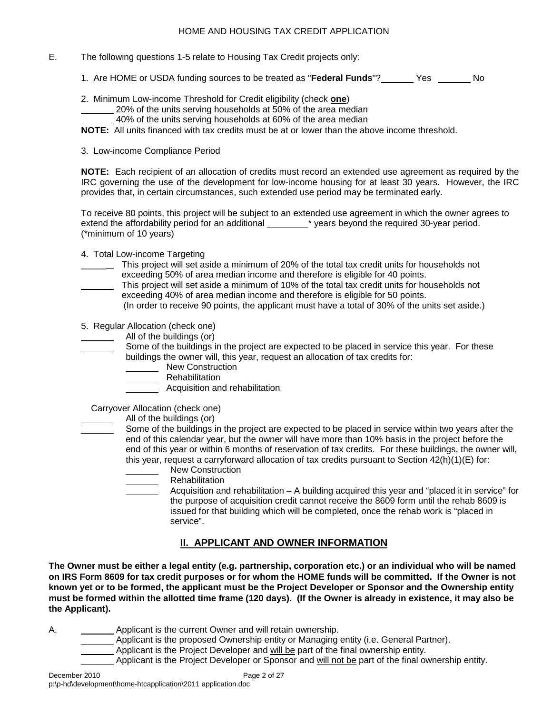- E. The following questions 1-5 relate to Housing Tax Credit projects only:
	- 1. Are HOME or USDA funding sources to be treated as "**Federal Funds**"? Yes No
	- 2. Minimum Low-income Threshold for Credit eligibility (check **one**)
		- 20% of the units serving households at 50% of the area median
			- 40% of the units serving households at 60% of the area median

**NOTE:** All units financed with tax credits must be at or lower than the above income threshold.

3. Low-income Compliance Period

**NOTE:** Each recipient of an allocation of credits must record an extended use agreement as required by the IRC governing the use of the development for low-income housing for at least 30 years. However, the IRC provides that, in certain circumstances, such extended use period may be terminated early.

To receive 80 points, this project will be subject to an extended use agreement in which the owner agrees to extend the affordability period for an additional \* years beyond the required 30-year period. (\*minimum of 10 years)

- 4. Total Low-income Targeting
- \_\_\_ This project will set aside a minimum of 20% of the total tax credit units for households not exceeding 50% of area median income and therefore is eligible for 40 points.
- This project will set aside a minimum of 10% of the total tax credit units for households not exceeding 40% of area median income and therefore is eligible for 50 points.
	- (In order to receive 90 points, the applicant must have a total of 30% of the units set aside.)

5. Regular Allocation (check one)

- All of the buildings (or)
- Some of the buildings in the project are expected to be placed in service this year. For these buildings the owner will, this year, request an allocation of tax credits for:
	- **New Construction** 
		- **Nehabilitation** 
			- Acquisition and rehabilitation

Carryover Allocation (check one)

- All of the buildings (or)
- Some of the buildings in the project are expected to be placed in service within two years after the end of this calendar year, but the owner will have more than 10% basis in the project before the end of this year or within 6 months of reservation of tax credits. For these buildings, the owner will, this year, request a carryforward allocation of tax credits pursuant to Section 42(h)(1)(E) for:
	- New Construction
	- Rehabilitation
	- Acquisition and rehabilitation A building acquired this year and "placed it in service" for the purpose of acquisition credit cannot receive the 8609 form until the rehab 8609 is issued for that building which will be completed, once the rehab work is "placed in service".

## **II. APPLICANT AND OWNER INFORMATION**

**The Owner must be either a legal entity (e.g. partnership, corporation etc.) or an individual who will be named on IRS Form 8609 for tax credit purposes or for whom the HOME funds will be committed. If the Owner is not known yet or to be formed, the applicant must be the Project Developer or Sponsor and the Ownership entity must be formed within the allotted time frame (120 days). (If the Owner is already in existence, it may also be the Applicant).**

A. **A.** Applicant is the current Owner and will retain ownership.

- Applicant is the proposed Ownership entity or Managing entity (i.e. General Partner).
- Applicant is the Project Developer and will be part of the final ownership entity.
- Applicant is the Project Developer or Sponsor and will not be part of the final ownership entity.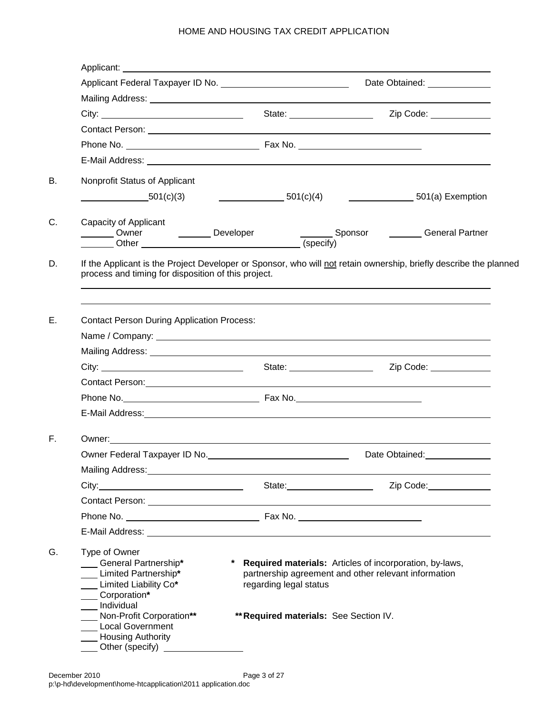|                                                                                                                                                                                                                                      |                                                                  | Date Obtained: 1997                                                                                               |
|--------------------------------------------------------------------------------------------------------------------------------------------------------------------------------------------------------------------------------------|------------------------------------------------------------------|-------------------------------------------------------------------------------------------------------------------|
|                                                                                                                                                                                                                                      |                                                                  |                                                                                                                   |
| City: City: City: City: City: City: City: City: City: City: Code: City: City: Code: City: City: City: City: City: City: City: City: City: City: City: City: City: City: City: City: City: City: City: City: City: City: City:        |                                                                  |                                                                                                                   |
|                                                                                                                                                                                                                                      |                                                                  |                                                                                                                   |
|                                                                                                                                                                                                                                      |                                                                  |                                                                                                                   |
|                                                                                                                                                                                                                                      |                                                                  |                                                                                                                   |
| Nonprofit Status of Applicant                                                                                                                                                                                                        |                                                                  |                                                                                                                   |
| $-$ 501(c)(3)                                                                                                                                                                                                                        |                                                                  | $\underline{\hspace{1cm}}$ 501(c)(4) $\underline{\hspace{1cm}}$ 501(a) Exemption                                  |
| Capacity of Applicant                                                                                                                                                                                                                | (specify)                                                        | Sponsor _______General Partner                                                                                    |
| If the Applicant is the Project Developer or Sponsor, who will not retain ownership, briefly describe the planned<br>process and timing for disposition of this project.                                                             |                                                                  |                                                                                                                   |
| <b>Contact Person During Application Process:</b>                                                                                                                                                                                    |                                                                  |                                                                                                                   |
|                                                                                                                                                                                                                                      |                                                                  |                                                                                                                   |
|                                                                                                                                                                                                                                      |                                                                  | Zip Code: ____________                                                                                            |
|                                                                                                                                                                                                                                      |                                                                  |                                                                                                                   |
|                                                                                                                                                                                                                                      |                                                                  |                                                                                                                   |
| E-Mail Address: Lawrence and Contract and Contract and Contract and Contract and Contract and Contract and Contract and Contract and Contract and Contract and Contract and Contract and Contract and Contract and Contract an       |                                                                  |                                                                                                                   |
|                                                                                                                                                                                                                                      |                                                                  |                                                                                                                   |
|                                                                                                                                                                                                                                      |                                                                  | Date Obtained:<br><u>Date Obtained:</u>                                                                           |
| Mailing Address: Mail and Mailing Address:                                                                                                                                                                                           |                                                                  |                                                                                                                   |
|                                                                                                                                                                                                                                      |                                                                  | Zip Code: 2000                                                                                                    |
|                                                                                                                                                                                                                                      |                                                                  |                                                                                                                   |
|                                                                                                                                                                                                                                      |                                                                  |                                                                                                                   |
| E-Mail Address: <u>contract and a series of the series of the series of the series of the series of the series of the series of the series of the series of the series of the series of the series of the series of the series o</u> |                                                                  |                                                                                                                   |
| Type of Owner<br>General Partnership*<br>Limited Partnership*<br>__ Limited Liability Co*<br>__ Corporation*<br>Individual<br>Non-Profit Corporation**<br><b>Local Government</b>                                                    | regarding legal status<br>** Required materials: See Section IV. | * Required materials: Articles of incorporation, by-laws,<br>partnership agreement and other relevant information |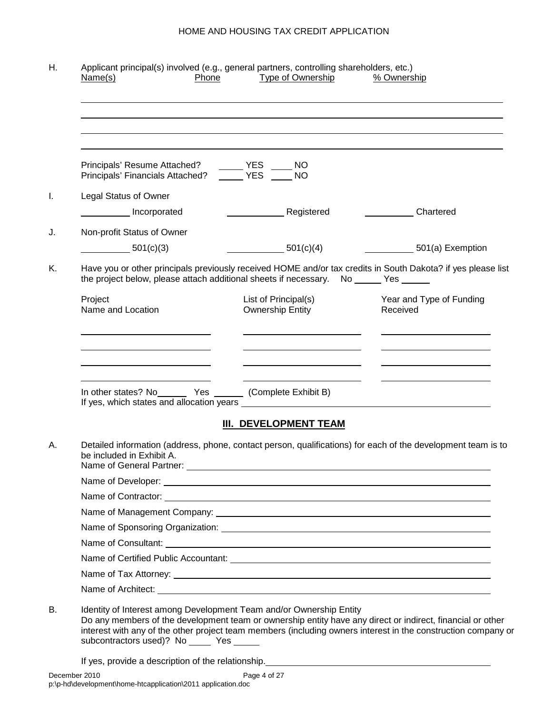| Principals' Resume Attached?<br>Principals' Financials Attached?                                                                                                                                      | $\overline{\phantom{a}}$ YES<br>NO<br><b>THE YES</b><br><b>NO</b> |                                      |
|-------------------------------------------------------------------------------------------------------------------------------------------------------------------------------------------------------|-------------------------------------------------------------------|--------------------------------------|
| <b>Legal Status of Owner</b>                                                                                                                                                                          |                                                                   |                                      |
| Incorporated                                                                                                                                                                                          | Registered                                                        | <b>Chartered</b>                     |
| Non-profit Status of Owner                                                                                                                                                                            |                                                                   |                                      |
| 501(c)(3)                                                                                                                                                                                             | 501(c)(4)                                                         | 501(a) Exemption                     |
| Have you or other principals previously received HOME and/or tax credits in South Dakota? if yes please list<br>the project below, please attach additional sheets if necessary. No ______ Yes ______ |                                                                   |                                      |
| Project<br>Name and Location                                                                                                                                                                          | List of Principal(s)<br><b>Ownership Entity</b>                   | Year and Type of Funding<br>Received |
|                                                                                                                                                                                                       | <u> 1989 - Johann Stoff, Amerikaansk politiker († 1908)</u>       |                                      |
| In other states? No ________ Yes ________ (Complete Exhibit B)                                                                                                                                        |                                                                   |                                      |
|                                                                                                                                                                                                       | <b>III. DEVELOPMENT TEAM</b>                                      |                                      |
| Detailed information (address, phone, contact person, qualifications) for each of the development team is to<br>be included in Exhibit A.<br>Name of General Partner: _                               |                                                                   |                                      |
|                                                                                                                                                                                                       |                                                                   |                                      |
|                                                                                                                                                                                                       |                                                                   |                                      |
|                                                                                                                                                                                                       |                                                                   |                                      |
|                                                                                                                                                                                                       |                                                                   |                                      |
|                                                                                                                                                                                                       |                                                                   |                                      |
|                                                                                                                                                                                                       |                                                                   |                                      |
|                                                                                                                                                                                                       |                                                                   |                                      |
|                                                                                                                                                                                                       |                                                                   |                                      |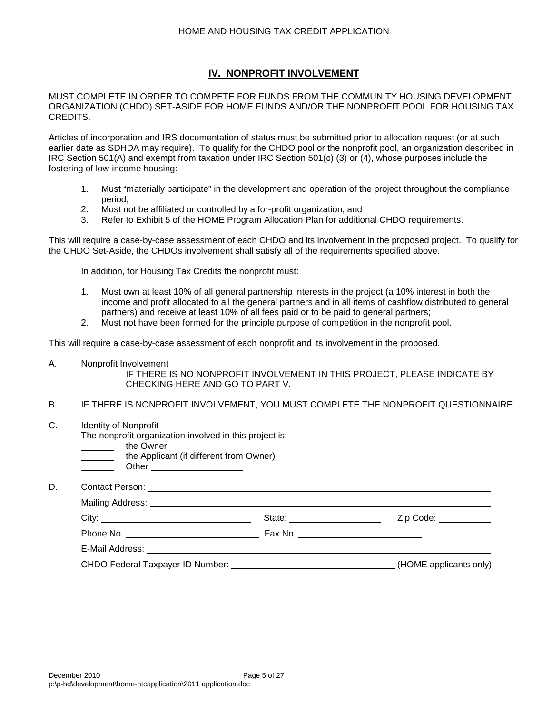## **IV. NONPROFIT INVOLVEMENT**

MUST COMPLETE IN ORDER TO COMPETE FOR FUNDS FROM THE COMMUNITY HOUSING DEVELOPMENT ORGANIZATION (CHDO) SET-ASIDE FOR HOME FUNDS AND/OR THE NONPROFIT POOL FOR HOUSING TAX CREDITS.

Articles of incorporation and IRS documentation of status must be submitted prior to allocation request (or at such earlier date as SDHDA may require). To qualify for the CHDO pool or the nonprofit pool, an organization described in IRC Section 501(A) and exempt from taxation under IRC Section 501(c) (3) or (4), whose purposes include the fostering of low-income housing:

- 1. Must "materially participate" in the development and operation of the project throughout the compliance period;
- 2. Must not be affiliated or controlled by a for-profit organization; and
- 3. Refer to Exhibit 5 of the HOME Program Allocation Plan for additional CHDO requirements.

This will require a case-by-case assessment of each CHDO and its involvement in the proposed project. To qualify for the CHDO Set-Aside, the CHDOs involvement shall satisfy all of the requirements specified above.

In addition, for Housing Tax Credits the nonprofit must:

- 1. Must own at least 10% of all general partnership interests in the project (a 10% interest in both the income and profit allocated to all the general partners and in all items of cashflow distributed to general partners) and receive at least 10% of all fees paid or to be paid to general partners;
- 2. Must not have been formed for the principle purpose of competition in the nonprofit pool.

This will require a case-by-case assessment of each nonprofit and its involvement in the proposed.

A. Nonprofit Involvement

IF THERE IS NO NONPROFIT INVOLVEMENT IN THIS PROJECT, PLEASE INDICATE BY CHECKING HERE AND GO TO PART V.

- B. IF THERE IS NONPROFIT INVOLVEMENT, YOU MUST COMPLETE THE NONPROFIT QUESTIONNAIRE.
- C. Identity of Nonprofit

The nonprofit organization involved in this project is:

- the Owner
	- the Applicant (if different from Owner)
	- **Other**

D. Contact Person:

| City:                                                                                                                                                                                                                          | State: _________________           | Zip Code: __________   |
|--------------------------------------------------------------------------------------------------------------------------------------------------------------------------------------------------------------------------------|------------------------------------|------------------------|
| Phone No.                                                                                                                                                                                                                      | Fax No. <u>___________________</u> |                        |
| E-Mail Address: Universe Present and Present and Present and Present and Present and Present and Present and P                                                                                                                 |                                    |                        |
| CHDO Federal Taxpayer ID Number: The Second Second Seconds of the Second Seconds Seconds Seconds Seconds Seconds Seconds Seconds Seconds Seconds Seconds Seconds Seconds Seconds Seconds Seconds Seconds Seconds Seconds Secon |                                    | (HOME applicants only) |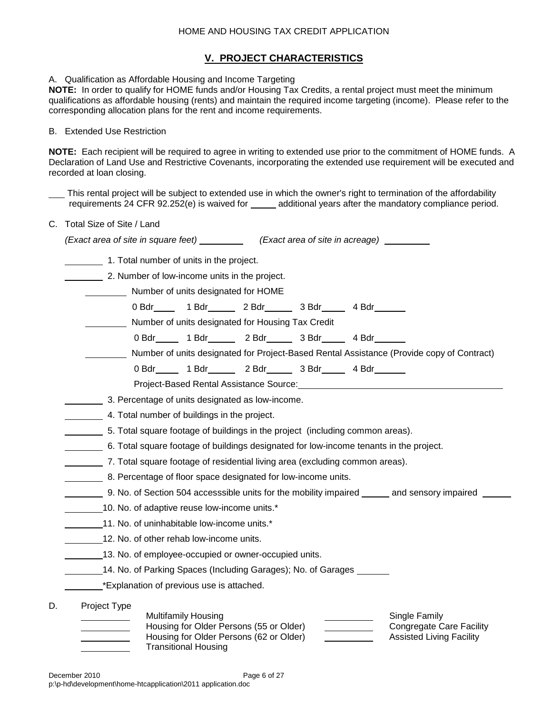## **V. PROJECT CHARACTERISTICS**

A. Qualification as Affordable Housing and Income Targeting

**NOTE:** In order to qualify for HOME funds and/or Housing Tax Credits, a rental project must meet the minimum qualifications as affordable housing (rents) and maintain the required income targeting (income). Please refer to the corresponding allocation plans for the rent and income requirements.

#### B. Extended Use Restriction

**NOTE:** Each recipient will be required to agree in writing to extended use prior to the commitment of HOME funds. A Declaration of Land Use and Restrictive Covenants, incorporating the extended use requirement will be executed and recorded at loan closing.

This rental project will be subject to extended use in which the owner's right to termination of the affordability requirements 24 CFR 92.252(e) is waived for \_\_\_\_\_ additional years after the mandatory compliance period.

C. Total Size of Site / Land

|    | (Exact area of site in square feet) ____________(Exact area of site in acreage)_________                                                                                                                                                                                            |
|----|-------------------------------------------------------------------------------------------------------------------------------------------------------------------------------------------------------------------------------------------------------------------------------------|
|    | 1. Total number of units in the project.                                                                                                                                                                                                                                            |
|    | 2. Number of low-income units in the project.                                                                                                                                                                                                                                       |
|    | Number of units designated for HOME                                                                                                                                                                                                                                                 |
|    | 0 Bdr 1 Bdr 2 Bdr 3 Bdr 4 Bdr 1                                                                                                                                                                                                                                                     |
|    | Number of units designated for Housing Tax Credit                                                                                                                                                                                                                                   |
|    | 0 Bdr _____ 1 Bdr _____ 2 Bdr _____ 3 Bdr ____ 4 Bdr _____                                                                                                                                                                                                                          |
|    | Number of units designated for Project-Based Rental Assistance (Provide copy of Contract)                                                                                                                                                                                           |
|    | 0 Bdr _____ 1 Bdr _____ 2 Bdr _____ 3 Bdr ____ 4 Bdr _____                                                                                                                                                                                                                          |
|    | Project-Based Rental Assistance Source: Network and the control of the control of the control of the control of                                                                                                                                                                     |
|    | 3. Percentage of units designated as low-income.                                                                                                                                                                                                                                    |
|    | 4. Total number of buildings in the project.                                                                                                                                                                                                                                        |
|    | 5. Total square footage of buildings in the project (including common areas).                                                                                                                                                                                                       |
|    | 6. Total square footage of buildings designated for low-income tenants in the project.                                                                                                                                                                                              |
|    | 7. Total square footage of residential living area (excluding common areas).                                                                                                                                                                                                        |
|    | 8. Percentage of floor space designated for low-income units.                                                                                                                                                                                                                       |
|    | __________ 9. No. of Section 504 accesssible units for the mobility impaired _______ and sensory impaired __                                                                                                                                                                        |
|    | 10. No. of adaptive reuse low-income units.*                                                                                                                                                                                                                                        |
|    | 11. No. of uninhabitable low-income units.*                                                                                                                                                                                                                                         |
|    | 12. No. of other rehab low-income units.                                                                                                                                                                                                                                            |
|    | 13. No. of employee-occupied or owner-occupied units.                                                                                                                                                                                                                               |
|    | 14. No. of Parking Spaces (Including Garages); No. of Garages                                                                                                                                                                                                                       |
|    | *Explanation of previous use is attached.                                                                                                                                                                                                                                           |
|    | Project Type                                                                                                                                                                                                                                                                        |
| D. | <b>Multifamily Housing</b><br>Single Family<br>Housing for Older Persons (55 or Older)<br><b>Congregate Care Facility</b><br>Housing for Older Persons (62 or Older)<br><b>Assisted Living Facility</b><br><u>and the community of the community</u><br><b>Transitional Housing</b> |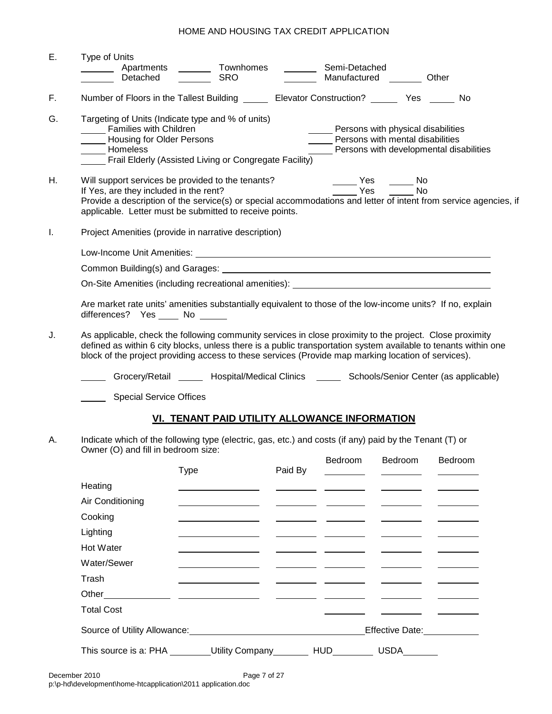| Ε. | <b>Type of Units</b><br>Detached                                                      | Apartments _________ Townhomes<br><b>SRO</b>                                                                                                                                                                                                                                                                                       | $\mathcal{L}_{\text{max}}$ and $\mathcal{L}_{\text{max}}$ | Semi-Detached<br>Manufactured ________ Other                                                                            |                                                   |                                                                                                                  |  |  |  |
|----|---------------------------------------------------------------------------------------|------------------------------------------------------------------------------------------------------------------------------------------------------------------------------------------------------------------------------------------------------------------------------------------------------------------------------------|-----------------------------------------------------------|-------------------------------------------------------------------------------------------------------------------------|---------------------------------------------------|------------------------------------------------------------------------------------------------------------------|--|--|--|
| F. |                                                                                       | Number of Floors in the Tallest Building ________ Elevator Construction? _________ Yes _______ No                                                                                                                                                                                                                                  |                                                           |                                                                                                                         |                                                   |                                                                                                                  |  |  |  |
| G. | Families with Children<br><b>Lackson</b> Housing for Older Persons<br><b>Momeless</b> | Targeting of Units (Indicate type and % of units)<br>Frail Elderly (Assisted Living or Congregate Facility)                                                                                                                                                                                                                        |                                                           | _____ Persons with physical disabilities<br>Persons with mental disabilities<br>Persons with developmental disabilities |                                                   |                                                                                                                  |  |  |  |
| Η. | If Yes, are they included in the rent?                                                | Will support services be provided to the tenants?<br>applicable. Letter must be submitted to receive points.                                                                                                                                                                                                                       |                                                           | $\frac{1}{\sqrt{1-\frac{1}{2}}}\text{Yes}$<br><sup>-</sup> Yes                                                          | $\frac{1}{\sqrt{1-\frac{1}{2}}}\text{No}$<br>a No | Provide a description of the service(s) or special accommodations and letter of intent from service agencies, if |  |  |  |
| I. |                                                                                       | Project Amenities (provide in narrative description)                                                                                                                                                                                                                                                                               |                                                           |                                                                                                                         |                                                   |                                                                                                                  |  |  |  |
|    |                                                                                       |                                                                                                                                                                                                                                                                                                                                    |                                                           |                                                                                                                         |                                                   |                                                                                                                  |  |  |  |
|    |                                                                                       |                                                                                                                                                                                                                                                                                                                                    |                                                           |                                                                                                                         |                                                   |                                                                                                                  |  |  |  |
|    |                                                                                       | On-Site Amenities (including recreational amenities): ___________________________                                                                                                                                                                                                                                                  |                                                           |                                                                                                                         |                                                   |                                                                                                                  |  |  |  |
|    | differences? Yes _____ No ______                                                      | Are market rate units' amenities substantially equivalent to those of the low-income units? If no, explain                                                                                                                                                                                                                         |                                                           |                                                                                                                         |                                                   |                                                                                                                  |  |  |  |
| J. |                                                                                       | As applicable, check the following community services in close proximity to the project. Close proximity<br>defined as within 6 city blocks, unless there is a public transportation system available to tenants within one<br>block of the project providing access to these services (Provide map marking location of services). |                                                           |                                                                                                                         |                                                   |                                                                                                                  |  |  |  |
|    |                                                                                       | Grocery/Retail _____ Hospital/Medical Clinics _____ Schools/Senior Center (as applicable)                                                                                                                                                                                                                                          |                                                           |                                                                                                                         |                                                   |                                                                                                                  |  |  |  |
|    | <b>Special Service Offices</b>                                                        |                                                                                                                                                                                                                                                                                                                                    |                                                           |                                                                                                                         |                                                   |                                                                                                                  |  |  |  |
|    |                                                                                       | VI. TENANT PAID UTILITY ALLOWANCE INFORMATION                                                                                                                                                                                                                                                                                      |                                                           |                                                                                                                         |                                                   |                                                                                                                  |  |  |  |
| А. | Owner (O) and fill in bedroom size:                                                   | Indicate which of the following type (electric, gas, etc.) and costs (if any) paid by the Tenant (T) or                                                                                                                                                                                                                            |                                                           |                                                                                                                         |                                                   |                                                                                                                  |  |  |  |
|    |                                                                                       | <b>Type</b>                                                                                                                                                                                                                                                                                                                        | Paid By                                                   | Bedroom                                                                                                                 | Bedroom                                           | Bedroom                                                                                                          |  |  |  |
|    | Heating                                                                               |                                                                                                                                                                                                                                                                                                                                    |                                                           |                                                                                                                         |                                                   |                                                                                                                  |  |  |  |
|    | Air Conditioning                                                                      |                                                                                                                                                                                                                                                                                                                                    |                                                           |                                                                                                                         |                                                   |                                                                                                                  |  |  |  |
|    | Cooking                                                                               |                                                                                                                                                                                                                                                                                                                                    |                                                           |                                                                                                                         |                                                   |                                                                                                                  |  |  |  |
|    | Lighting                                                                              |                                                                                                                                                                                                                                                                                                                                    |                                                           |                                                                                                                         |                                                   |                                                                                                                  |  |  |  |
|    | Hot Water                                                                             |                                                                                                                                                                                                                                                                                                                                    |                                                           |                                                                                                                         |                                                   |                                                                                                                  |  |  |  |
|    | Water/Sewer                                                                           |                                                                                                                                                                                                                                                                                                                                    |                                                           |                                                                                                                         |                                                   |                                                                                                                  |  |  |  |
|    | Trash                                                                                 |                                                                                                                                                                                                                                                                                                                                    |                                                           |                                                                                                                         |                                                   |                                                                                                                  |  |  |  |
|    | Other                                                                                 |                                                                                                                                                                                                                                                                                                                                    |                                                           |                                                                                                                         |                                                   |                                                                                                                  |  |  |  |
|    | <b>Total Cost</b>                                                                     |                                                                                                                                                                                                                                                                                                                                    |                                                           |                                                                                                                         |                                                   |                                                                                                                  |  |  |  |
|    |                                                                                       | Source of Utility Allowance: Management of the County of The County of The County of The County of The County of The County of The County of The County of The County of The County of The County of The County of The County                                                                                                      |                                                           |                                                                                                                         |                                                   | Effective Date: Management                                                                                       |  |  |  |
|    | This source is a: PHA                                                                 |                                                                                                                                                                                                                                                                                                                                    | Utility Company_______                                    | <b>HUD</b>                                                                                                              | <b>USDA</b>                                       |                                                                                                                  |  |  |  |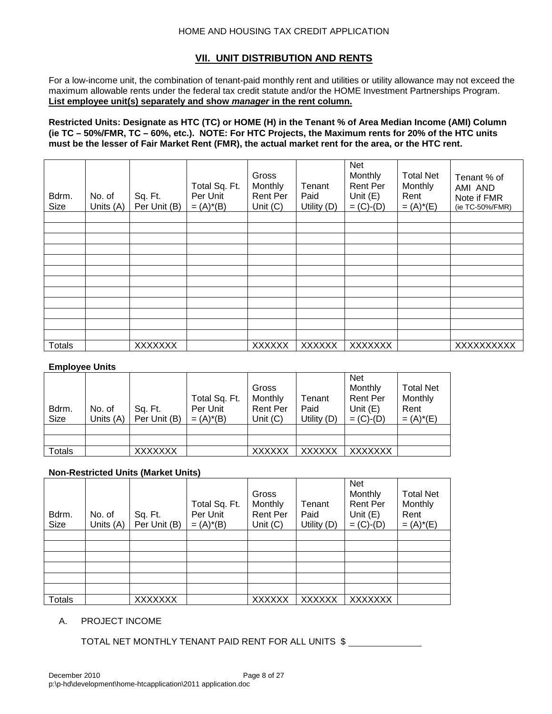## **VII. UNIT DISTRIBUTION AND RENTS**

For a low-income unit, the combination of tenant-paid monthly rent and utilities or utility allowance may not exceed the maximum allowable rents under the federal tax credit statute and/or the HOME Investment Partnerships Program. **List employee unit(s) separately and show** *manager* **in the rent column.**

**Restricted Units: Designate as HTC (TC) or HOME (H) in the Tenant % of Area Median Income (AMI) Column (ie TC – 50%/FMR, TC – 60%, etc.). NOTE: For HTC Projects, the Maximum rents for 20% of the HTC units must be the lesser of Fair Market Rent (FMR), the actual market rent for the area, or the HTC rent.** 

| Bdrm.<br><b>Size</b> | No. of<br>Units (A) | Sq. Ft.<br>Per Unit (B) | Total Sq. Ft.<br>Per Unit<br>$= (A)^*(B)$ | Gross<br>Monthly<br>Rent Per<br>Unit $(C)$ | Tenant<br>Paid<br>Utility (D) | Net<br>Monthly<br>Rent Per<br>Unit $(E)$<br>$= (C)-(D)$ | <b>Total Net</b><br>Monthly<br>Rent<br>$= (A)^*(E)$ | Tenant % of<br>AMI AND<br>Note if FMR<br>(ie TC-50%/FMR) |
|----------------------|---------------------|-------------------------|-------------------------------------------|--------------------------------------------|-------------------------------|---------------------------------------------------------|-----------------------------------------------------|----------------------------------------------------------|
|                      |                     |                         |                                           |                                            |                               |                                                         |                                                     |                                                          |
|                      |                     |                         |                                           |                                            |                               |                                                         |                                                     |                                                          |
|                      |                     |                         |                                           |                                            |                               |                                                         |                                                     |                                                          |
|                      |                     |                         |                                           |                                            |                               |                                                         |                                                     |                                                          |
|                      |                     |                         |                                           |                                            |                               |                                                         |                                                     |                                                          |
|                      |                     |                         |                                           |                                            |                               |                                                         |                                                     |                                                          |
|                      |                     |                         |                                           |                                            |                               |                                                         |                                                     |                                                          |
|                      |                     |                         |                                           |                                            |                               |                                                         |                                                     |                                                          |
|                      |                     |                         |                                           |                                            |                               |                                                         |                                                     |                                                          |
|                      |                     |                         |                                           |                                            |                               |                                                         |                                                     |                                                          |
|                      |                     |                         |                                           |                                            |                               |                                                         |                                                     |                                                          |
| <b>Totals</b>        |                     | <b>XXXXXXX</b>          |                                           | <b>XXXXXX</b>                              | <b>XXXXXX</b>                 | <b>XXXXXXX</b>                                          |                                                     | XXXXXXXXX                                                |

### **Employee Units**

| Bdrm.<br>Size | No. of<br>Units (A) | Sq. Ft.<br>Per Unit (B) | Total Sq. Ft.<br>Per Unit<br>$= (A)^*(B)$ | Gross<br>Monthly<br><b>Rent Per</b><br>Unit $(C)$ | Tenant<br>Paid<br>Utility (D) | <b>Net</b><br>Monthly<br><b>Rent Per</b><br>Unit $(E)$<br>$= (C)-(D)$ | <b>Total Net</b><br>Monthly<br>Rent<br>$= (A)^*(E)$ |
|---------------|---------------------|-------------------------|-------------------------------------------|---------------------------------------------------|-------------------------------|-----------------------------------------------------------------------|-----------------------------------------------------|
|               |                     |                         |                                           |                                                   |                               |                                                                       |                                                     |
|               |                     |                         |                                           |                                                   |                               |                                                                       |                                                     |
| Totals        |                     | <b>XXXXXXX</b>          |                                           | <b>XXXXXX</b>                                     | <b>XXXXXX</b>                 | <b>XXXXXXX</b>                                                        |                                                     |

### **Non-Restricted Units (Market Units)**

| Bdrm.<br>Size | No. of<br>Units (A) | Sq. Ft.<br>Per Unit (B) | Total Sq. Ft.<br>Per Unit<br>$= (A)^*(B)$ | Gross<br>Monthly<br><b>Rent Per</b><br>Unit $(C)$ | Tenant<br>Paid<br>Utility (D) | <b>Net</b><br>Monthly<br>Rent Per<br>Unit $(E)$<br>$= (C)-(D)$ | <b>Total Net</b><br>Monthly<br>Rent<br>$= (A)^*(E)$ |
|---------------|---------------------|-------------------------|-------------------------------------------|---------------------------------------------------|-------------------------------|----------------------------------------------------------------|-----------------------------------------------------|
|               |                     |                         |                                           |                                                   |                               |                                                                |                                                     |
|               |                     |                         |                                           |                                                   |                               |                                                                |                                                     |
|               |                     |                         |                                           |                                                   |                               |                                                                |                                                     |
|               |                     |                         |                                           |                                                   |                               |                                                                |                                                     |
|               |                     |                         |                                           |                                                   |                               |                                                                |                                                     |
|               |                     |                         |                                           |                                                   |                               |                                                                |                                                     |
| <b>Totals</b> |                     | <b>XXXXXXX</b>          |                                           | <b>XXXXXX</b>                                     | <b>XXXXXX</b>                 | XXXXXXX                                                        |                                                     |

#### A. PROJECT INCOME

TOTAL NET MONTHLY TENANT PAID RENT FOR ALL UNITS \$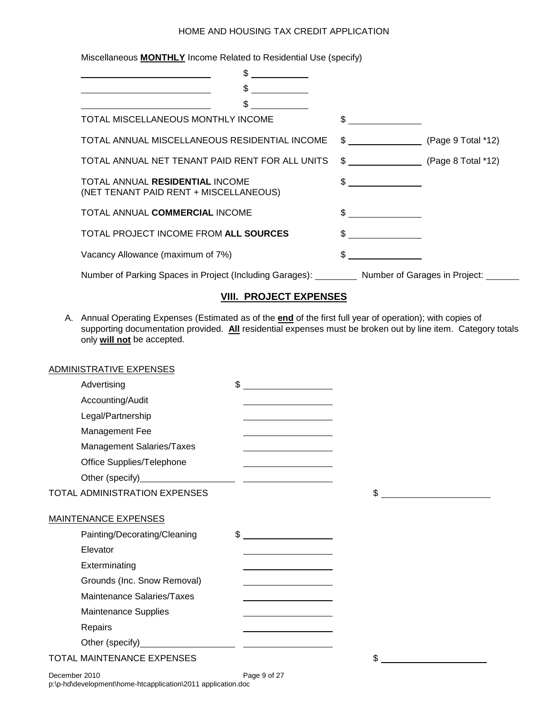Miscellaneous **MONTHLY** Income Related to Residential Use (specify)

| \$                                                                                     |                                    |  |
|----------------------------------------------------------------------------------------|------------------------------------|--|
|                                                                                        |                                    |  |
| \$.                                                                                    |                                    |  |
| TOTAL MISCELLANEOUS MONTHLY INCOME                                                     | $\frac{1}{2}$                      |  |
| TOTAL ANNUAL MISCELLANEOUS RESIDENTIAL INCOME                                          | $\frac{12}{12}$ (Page 9 Total *12) |  |
| TOTAL ANNUAL NET TENANT PAID RENT FOR ALL UNITS                                        | $\text{G}$ (Page 8 Total *12)      |  |
| TOTAL ANNUAL RESIDENTIAL INCOME<br>(NET TENANT PAID RENT + MISCELLANEOUS)              | $\frac{1}{2}$                      |  |
| TOTAL ANNUAL COMMERCIAL INCOME                                                         | $\sim$ $\sim$                      |  |
| TOTAL PROJECT INCOME FROM ALL SOURCES                                                  | $\frac{1}{\sqrt{2}}$               |  |
| Vacancy Allowance (maximum of 7%)                                                      |                                    |  |
| Number of Parking Spaces in Project (Including Garages): Number of Garages in Project: |                                    |  |

## **VIII. PROJECT EXPENSES**

A. Annual Operating Expenses (Estimated as of the **end** of the first full year of operation); with copies of supporting documentation provided. **All** residential expenses must be broken out by line item. Category totals only **will not** be accepted.

|               | ADMINISTRATIVE EXPENSES              |                                                                                                                       |    |
|---------------|--------------------------------------|-----------------------------------------------------------------------------------------------------------------------|----|
|               | Advertising                          | $$-$                                                                                                                  |    |
|               | Accounting/Audit                     |                                                                                                                       |    |
|               | Legal/Partnership                    |                                                                                                                       |    |
|               | Management Fee                       | <u> 1980 - Johann Barn, mars ann an t-Amhain Aonaich an t-Aonaich an t-Aonaich ann an t-Aonaich ann an t-Aonaich</u>  |    |
|               | Management Salaries/Taxes            |                                                                                                                       |    |
|               | Office Supplies/Telephone            |                                                                                                                       |    |
|               |                                      |                                                                                                                       |    |
|               | <b>TOTAL ADMINISTRATION EXPENSES</b> |                                                                                                                       | \$ |
|               | <b>MAINTENANCE EXPENSES</b>          |                                                                                                                       |    |
|               | Painting/Decorating/Cleaning         | $\frac{1}{2}$                                                                                                         |    |
|               | Elevator                             |                                                                                                                       |    |
|               | Exterminating                        |                                                                                                                       |    |
|               | Grounds (Inc. Snow Removal)          | <u> 1989 - Johann Barn, amerikansk politiker (</u>                                                                    |    |
|               | Maintenance Salaries/Taxes           |                                                                                                                       |    |
|               | Maintenance Supplies                 |                                                                                                                       |    |
|               | Repairs                              | <u> 1989 - Johann Barn, mars ann an t-Amhain Aonaich an t-Aonaich an t-Aonaich an t-Aonaich an t-Aonaich an t-Aon</u> |    |
|               |                                      |                                                                                                                       |    |
|               | <b>TOTAL MAINTENANCE EXPENSES</b>    |                                                                                                                       | \$ |
| December 2010 |                                      | Page 9 of 27                                                                                                          |    |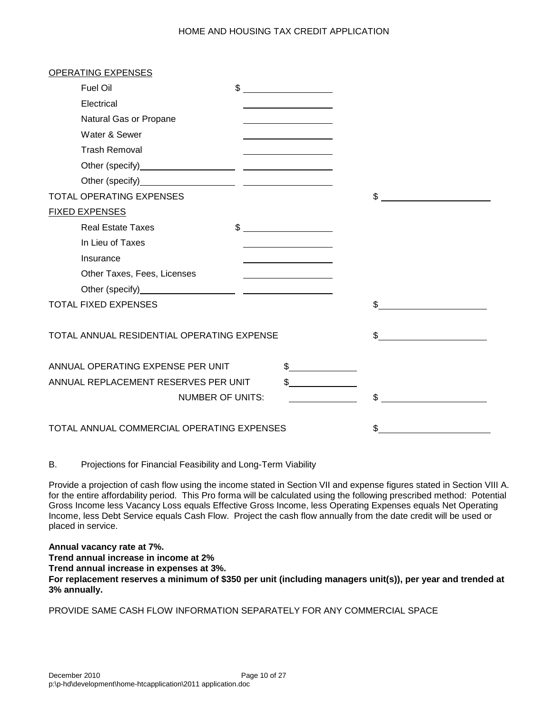| OPERATING EXPENSES                         |                                                                                                                                                                                                                                                                                                                                                                                                                                 |     |
|--------------------------------------------|---------------------------------------------------------------------------------------------------------------------------------------------------------------------------------------------------------------------------------------------------------------------------------------------------------------------------------------------------------------------------------------------------------------------------------|-----|
| Fuel Oil                                   | $\frac{1}{\sqrt{1-\frac{1}{2}}}\frac{1}{\sqrt{1-\frac{1}{2}}}\frac{1}{\sqrt{1-\frac{1}{2}}}\frac{1}{\sqrt{1-\frac{1}{2}}}\frac{1}{\sqrt{1-\frac{1}{2}}}\frac{1}{\sqrt{1-\frac{1}{2}}}\frac{1}{\sqrt{1-\frac{1}{2}}}\frac{1}{\sqrt{1-\frac{1}{2}}}\frac{1}{\sqrt{1-\frac{1}{2}}}\frac{1}{\sqrt{1-\frac{1}{2}}}\frac{1}{\sqrt{1-\frac{1}{2}}}\frac{1}{\sqrt{1-\frac{1}{2}}}\frac{1}{\sqrt{1-\frac{1}{2}}}\frac{1}{\sqrt{1-\frac{$ |     |
| Electrical                                 |                                                                                                                                                                                                                                                                                                                                                                                                                                 |     |
| Natural Gas or Propane                     |                                                                                                                                                                                                                                                                                                                                                                                                                                 |     |
| Water & Sewer                              |                                                                                                                                                                                                                                                                                                                                                                                                                                 |     |
| <b>Trash Removal</b>                       |                                                                                                                                                                                                                                                                                                                                                                                                                                 |     |
|                                            |                                                                                                                                                                                                                                                                                                                                                                                                                                 |     |
|                                            |                                                                                                                                                                                                                                                                                                                                                                                                                                 |     |
| <b>TOTAL OPERATING EXPENSES</b>            |                                                                                                                                                                                                                                                                                                                                                                                                                                 | \$  |
| <b>FIXED EXPENSES</b>                      |                                                                                                                                                                                                                                                                                                                                                                                                                                 |     |
| <b>Real Estate Taxes</b>                   | $\frac{1}{2}$                                                                                                                                                                                                                                                                                                                                                                                                                   |     |
| In Lieu of Taxes                           |                                                                                                                                                                                                                                                                                                                                                                                                                                 |     |
| Insurance                                  |                                                                                                                                                                                                                                                                                                                                                                                                                                 |     |
| Other Taxes, Fees, Licenses                |                                                                                                                                                                                                                                                                                                                                                                                                                                 |     |
|                                            |                                                                                                                                                                                                                                                                                                                                                                                                                                 |     |
| <b>TOTAL FIXED EXPENSES</b>                |                                                                                                                                                                                                                                                                                                                                                                                                                                 | \$  |
|                                            |                                                                                                                                                                                                                                                                                                                                                                                                                                 |     |
| TOTAL ANNUAL RESIDENTIAL OPERATING EXPENSE |                                                                                                                                                                                                                                                                                                                                                                                                                                 | \$. |
|                                            |                                                                                                                                                                                                                                                                                                                                                                                                                                 |     |
| ANNUAL OPERATING EXPENSE PER UNIT          | \$                                                                                                                                                                                                                                                                                                                                                                                                                              |     |
| ANNUAL REPLACEMENT RESERVES PER UNIT       |                                                                                                                                                                                                                                                                                                                                                                                                                                 |     |
| <b>NUMBER OF UNITS:</b>                    |                                                                                                                                                                                                                                                                                                                                                                                                                                 | \$  |
|                                            |                                                                                                                                                                                                                                                                                                                                                                                                                                 |     |
| TOTAL ANNUAL COMMERCIAL OPERATING EXPENSES |                                                                                                                                                                                                                                                                                                                                                                                                                                 |     |

B. Projections for Financial Feasibility and Long-Term Viability

Provide a projection of cash flow using the income stated in Section VII and expense figures stated in Section VIII A. for the entire affordability period. This Pro forma will be calculated using the following prescribed method: Potential Gross Income less Vacancy Loss equals Effective Gross Income, less Operating Expenses equals Net Operating Income, less Debt Service equals Cash Flow. Project the cash flow annually from the date credit will be used or placed in service.

**Annual vacancy rate at 7%. Trend annual increase in income at 2%**

**Trend annual increase in expenses at 3%.**

**For replacement reserves a minimum of \$350 per unit (including managers unit(s)), per year and trended at 3% annually.**

PROVIDE SAME CASH FLOW INFORMATION SEPARATELY FOR ANY COMMERCIAL SPACE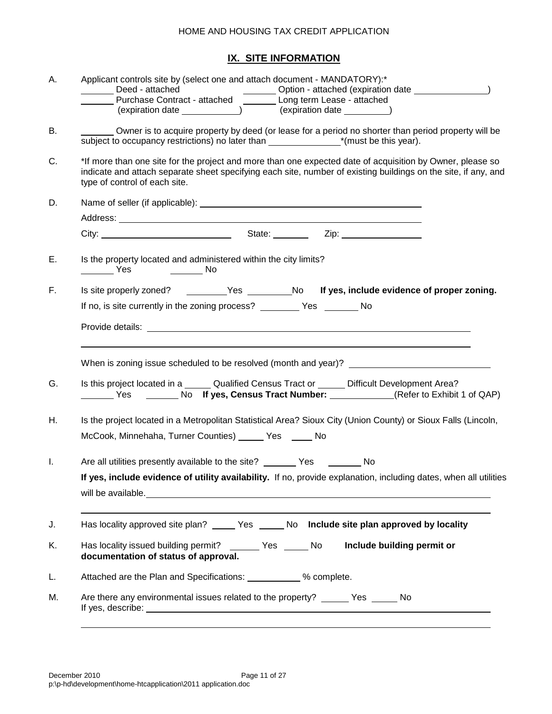## **IX. SITE INFORMATION**

| Α. | Applicant controls site by (select one and attach document - MANDATORY):*                                                                                                                                                                                    |
|----|--------------------------------------------------------------------------------------------------------------------------------------------------------------------------------------------------------------------------------------------------------------|
|    | _______ Deed - attached ______________________Option - attached (expiration date _________________)<br>________ Purchase Contract - attached __________ Long term Lease - attached                                                                           |
|    |                                                                                                                                                                                                                                                              |
| В. | Owner is to acquire property by deed (or lease for a period no shorter than period property will be                                                                                                                                                          |
| C. | *If more than one site for the project and more than one expected date of acquisition by Owner, please so<br>indicate and attach separate sheet specifying each site, number of existing buildings on the site, if any, and<br>type of control of each site. |
| D. |                                                                                                                                                                                                                                                              |
|    |                                                                                                                                                                                                                                                              |
|    | City: City: City: City: City: City: City: City: City: City: City: City: City: City: City: City: City: City: City: City: City: City: City: City: City: City: City: City: City: City: City: City: City: City: City: City: City:                                |
| Е. | Is the property located and administered within the city limits?<br>____________ Yes ____________ No                                                                                                                                                         |
| F. | Is site properly zoned? ________Yes ________No If yes, include evidence of proper zoning.                                                                                                                                                                    |
|    | If no, is site currently in the zoning process? __________ Yes ________ No                                                                                                                                                                                   |
|    |                                                                                                                                                                                                                                                              |
|    |                                                                                                                                                                                                                                                              |
| G. | Is this project located in a ______ Qualified Census Tract or ______ Difficult Development Area?                                                                                                                                                             |
| Η. | Is the project located in a Metropolitan Statistical Area? Sioux City (Union County) or Sioux Falls (Lincoln,                                                                                                                                                |
|    | McCook, Minnehaha, Turner Counties) _____ Yes ____ No                                                                                                                                                                                                        |
| Τ. | Are all utilities presently available to the site? ________ Yes ________ No                                                                                                                                                                                  |
|    | If yes, include evidence of utility availability. If no, provide explanation, including dates, when all utilities                                                                                                                                            |
|    |                                                                                                                                                                                                                                                              |
|    |                                                                                                                                                                                                                                                              |
| J. | Has locality approved site plan? _______ Yes _______ No Include site plan approved by locality                                                                                                                                                               |
| Κ. | Has locality issued building permit? _______ Yes _____ No<br>Include building permit or<br>documentation of status of approval.                                                                                                                              |
| L. | Attached are the Plan and Specifications: ___________ % complete.                                                                                                                                                                                            |
| М. | Are there any environmental issues related to the property? ______ Yes ______ No                                                                                                                                                                             |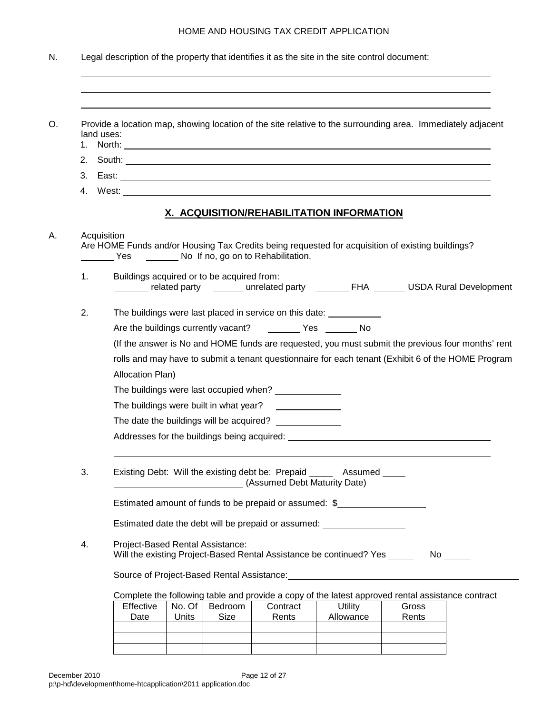|    | Provide a location map, showing location of the site relative to the surrounding area. Immediately adjacent<br>land uses:                                                                                                      |
|----|--------------------------------------------------------------------------------------------------------------------------------------------------------------------------------------------------------------------------------|
|    |                                                                                                                                                                                                                                |
|    |                                                                                                                                                                                                                                |
|    |                                                                                                                                                                                                                                |
|    | X. ACQUISITION/REHABILITATION INFORMATION                                                                                                                                                                                      |
|    | Acquisition<br>Are HOME Funds and/or Housing Tax Credits being requested for acquisition of existing buildings?<br>Yes ______ No If no, go on to Rehabilitation.                                                               |
| 1. | Buildings acquired or to be acquired from:<br>_______ related party _______ unrelated party ________ FHA _______ USDA Rural Development                                                                                        |
| 2. | The buildings were last placed in service on this date: ____________                                                                                                                                                           |
|    | Are the buildings currently vacant? __________ Yes ________ No                                                                                                                                                                 |
|    |                                                                                                                                                                                                                                |
|    | (If the answer is No and HOME funds are requested, you must submit the previous four months' rent                                                                                                                              |
|    | rolls and may have to submit a tenant questionnaire for each tenant (Exhibit 6 of the HOME Program                                                                                                                             |
|    | Allocation Plan)                                                                                                                                                                                                               |
|    | The buildings were last occupied when? ______________                                                                                                                                                                          |
|    | The buildings were built in what year?                                                                                                                                                                                         |
|    |                                                                                                                                                                                                                                |
|    |                                                                                                                                                                                                                                |
| 3. | Existing Debt: Will the existing debt be: Prepaid ______ Assumed _____<br>(Assumed Debt Maturity Date)                                                                                                                         |
|    | Estimated amount of funds to be prepaid or assumed: \$                                                                                                                                                                         |
|    | Estimated date the debt will be prepaid or assumed: ____________________________                                                                                                                                               |
| 4. | Project-Based Rental Assistance:<br>Will the existing Project-Based Rental Assistance be continued? Yes ______                                                                                                                 |
|    | Source of Project-Based Rental Assistance: Market Asset and Assistance and Asset and Asset and Asset and Asset and Asset and Asset and Asset and Asset and Asset and Asset and Asset and Asset and Asset and Asset and Asset a |
|    | Complete the following table and provide a copy of the latest approved rental assistance contract                                                                                                                              |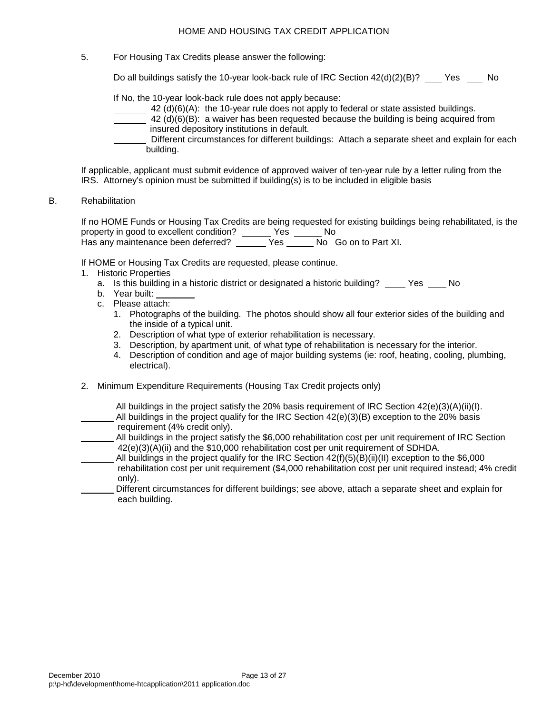5. For Housing Tax Credits please answer the following:

Do all buildings satisfy the 10-year look-back rule of IRC Section  $42(d)(2)(B)?$  Yes No

If No, the 10-year look-back rule does not apply because:

- $\frac{42 \text{ (d)(6)(A)}}{2}$  the 10-year rule does not apply to federal or state assisted buildings.
- $42$  (d)(6)(B): a waiver has been requested because the building is being acquired from insured depository institutions in default.
- Different circumstances for different buildings: Attach a separate sheet and explain for each building.

If applicable, applicant must submit evidence of approved waiver of ten-year rule by a letter ruling from the IRS. Attorney's opinion must be submitted if building(s) is to be included in eligible basis

B. Rehabilitation

If no HOME Funds or Housing Tax Credits are being requested for existing buildings being rehabilitated, is the property in good to excellent condition? \_\_\_\_\_\_ Yes \_\_\_\_\_\_ No Has any maintenance been deferred? <br>
Has any maintenance been deferred? <br>
Yes No Go on to Part XI.

If HOME or Housing Tax Credits are requested, please continue.

- 1. Historic Properties
	- a. Is this building in a historic district or designated a historic building? Yes No
	- b. Year built:
	- c. Please attach:
		- 1. Photographs of the building. The photos should show all four exterior sides of the building and the inside of a typical unit.
		- 2. Description of what type of exterior rehabilitation is necessary.
		- 3. Description, by apartment unit, of what type of rehabilitation is necessary for the interior.
		- 4. Description of condition and age of major building systems (ie: roof, heating, cooling, plumbing, electrical).
- 2. Minimum Expenditure Requirements (Housing Tax Credit projects only)
- All buildings in the project satisfy the 20% basis requirement of IRC Section  $42(e)(3)(A)(ii)(I)$ . All buildings in the project qualify for the IRC Section  $42(e)(3)(B)$  exception to the 20% basis requirement (4% credit only).
- All buildings in the project satisfy the \$6,000 rehabilitation cost per unit requirement of IRC Section 42(e)(3)(A)(ii) and the \$10,000 rehabilitation cost per unit requirement of SDHDA.
- All buildings in the project qualify for the IRC Section 42(f)(5)(B)(ii)(II) exception to the \$6,000 rehabilitation cost per unit requirement (\$4,000 rehabilitation cost per unit required instead; 4% credit only).
- Different circumstances for different buildings; see above, attach a separate sheet and explain for each building.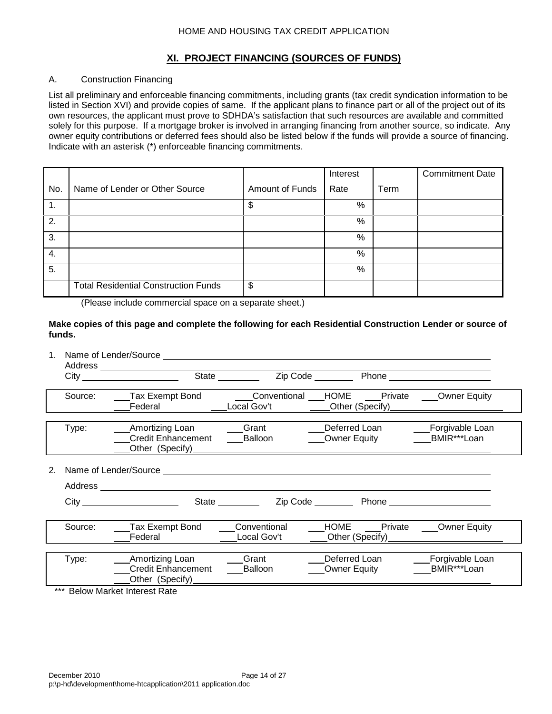## **XI. PROJECT FINANCING (SOURCES OF FUNDS)**

## A. Construction Financing

List all preliminary and enforceable financing commitments, including grants (tax credit syndication information to be listed in Section XVI) and provide copies of same. If the applicant plans to finance part or all of the project out of its own resources, the applicant must prove to SDHDA's satisfaction that such resources are available and committed solely for this purpose. If a mortgage broker is involved in arranging financing from another source, so indicate. Any owner equity contributions or deferred fees should also be listed below if the funds will provide a source of financing. Indicate with an asterisk (\*) enforceable financing commitments.

|                  |                                             |                 | Interest |      | <b>Commitment Date</b> |
|------------------|---------------------------------------------|-----------------|----------|------|------------------------|
| No.              | Name of Lender or Other Source              | Amount of Funds | Rate     | Term |                        |
| $\mathbf{1}$ .   |                                             | \$              | %        |      |                        |
| 2.               |                                             |                 | %        |      |                        |
| $\overline{3}$ . |                                             |                 | %        |      |                        |
| 4.               |                                             |                 | %        |      |                        |
| 5.               |                                             |                 | %        |      |                        |
|                  | <b>Total Residential Construction Funds</b> | \$              |          |      |                        |

(Please include commercial space on a separate sheet.)

**Make copies of this page and complete the following for each Residential Construction Lender or source of funds.**

| Source: | Tax Exempt Bond Conventional HOME Private Owner Equity<br>Federal | Local Gov't                 | _____Other (Specify)                         |                                |
|---------|-------------------------------------------------------------------|-----------------------------|----------------------------------------------|--------------------------------|
| Type:   | Amortizing Loan<br><b>Credit Enhancement</b><br>Other (Specify)   | Grant<br>Balloon            | Deferred Loan<br><b>Owner Equity</b>         | Forgivable Loan<br>BMIR***Loan |
|         |                                                                   |                             |                                              |                                |
|         |                                                                   |                             |                                              |                                |
|         |                                                                   | State _________             |                                              |                                |
| Source: | Tax Exempt Bond<br>Federal                                        | Conventional<br>Local Gov't | HOME Private Owner Equity<br>Other (Specify) |                                |
| Type:   | Amortizing Loan<br><b>Credit Enhancement</b><br>Other (Specify)   | Grant<br>Balloon            | Deferred Loan<br><b>Owner Equity</b>         | Forgivable Loan<br>BMIR***Loan |
|         | *** Below Market Interest Rate                                    |                             |                                              |                                |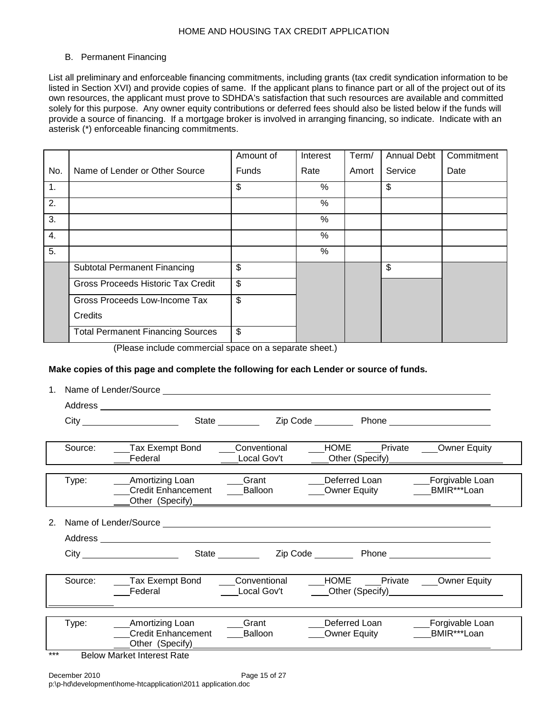#### B. Permanent Financing

List all preliminary and enforceable financing commitments, including grants (tax credit syndication information to be listed in Section XVI) and provide copies of same. If the applicant plans to finance part or all of the project out of its own resources, the applicant must prove to SDHDA's satisfaction that such resources are available and committed solely for this purpose. Any owner equity contributions or deferred fees should also be listed below if the funds will provide a source of financing. If a mortgage broker is involved in arranging financing, so indicate. Indicate with an asterisk (\*) enforceable financing commitments.

|     |                                          | Amount of    | Interest | Term/ | <b>Annual Debt</b> | Commitment |
|-----|------------------------------------------|--------------|----------|-------|--------------------|------------|
| No. | Name of Lender or Other Source           | <b>Funds</b> | Rate     | Amort | Service            | Date       |
| 1.  |                                          | \$           | $\%$     |       | \$                 |            |
| 2.  |                                          |              | %        |       |                    |            |
| 3.  |                                          |              | %        |       |                    |            |
| 4.  |                                          |              | %        |       |                    |            |
| 5.  |                                          |              | %        |       |                    |            |
|     | <b>Subtotal Permanent Financing</b>      | \$           |          |       | \$                 |            |
|     | Gross Proceeds Historic Tax Credit       | \$           |          |       |                    |            |
|     | Gross Proceeds Low-Income Tax            | \$           |          |       |                    |            |
|     | Credits                                  |              |          |       |                    |            |
|     | <b>Total Permanent Financing Sources</b> | \$           |          |       |                    |            |

(Please include commercial space on a separate sheet.)

### **Make copies of this page and complete the following for each Lender or source of funds.**

| Source: | Tax Exempt Bond<br>Federal                   | Conventional<br>Local Gov't                                                      |                                                                                                                                                                                                                                                                                                  |                                                                                                                                                                                                                                                                                                                                                                                             |
|---------|----------------------------------------------|----------------------------------------------------------------------------------|--------------------------------------------------------------------------------------------------------------------------------------------------------------------------------------------------------------------------------------------------------------------------------------------------|---------------------------------------------------------------------------------------------------------------------------------------------------------------------------------------------------------------------------------------------------------------------------------------------------------------------------------------------------------------------------------------------|
| Type:   | <b>Credit Enhancement</b>                    | Grant<br>Balloon                                                                 | Deferred Loan                                                                                                                                                                                                                                                                                    | Forgivable Loan                                                                                                                                                                                                                                                                                                                                                                             |
|         |                                              |                                                                                  |                                                                                                                                                                                                                                                                                                  |                                                                                                                                                                                                                                                                                                                                                                                             |
|         |                                              |                                                                                  |                                                                                                                                                                                                                                                                                                  |                                                                                                                                                                                                                                                                                                                                                                                             |
|         |                                              |                                                                                  |                                                                                                                                                                                                                                                                                                  |                                                                                                                                                                                                                                                                                                                                                                                             |
| Source: | Federal                                      | Local Gov't                                                                      |                                                                                                                                                                                                                                                                                                  |                                                                                                                                                                                                                                                                                                                                                                                             |
|         |                                              |                                                                                  |                                                                                                                                                                                                                                                                                                  |                                                                                                                                                                                                                                                                                                                                                                                             |
|         | <b>Credit Enhancement</b><br>Other (Specify) | <b>Balloon</b>                                                                   |                                                                                                                                                                                                                                                                                                  | Forgivable Loan<br>BMIR***Loan                                                                                                                                                                                                                                                                                                                                                              |
|         | Type:<br>المقاربة ومقاربتك<br>$-1$           | City <b>Community</b><br>Amortizing Loan<br>Amortizing Loan<br><b>MARIAN ARA</b> | State _________<br>Other (Specify)<br><u>Discussion of</u> the contract of the contract of the contract of the contract of the contract of the contract of the contract of the contract of the contract of the contract of the contract of the contract<br>Tax Exempt Bond Conventional<br>Grant | HOME Private ____Owner Equity<br>Other (Specify) <b>Container Container Container</b><br>HOME ___Private ___Owner Equity<br>Other (Specify) and the control of the control of the control of the control of the control of the control of the control of the control of the control of the control of the control of the control of the control of the con<br>Deferred Loan<br>Owner Equity |

\*\*\* Below Market Interest Rate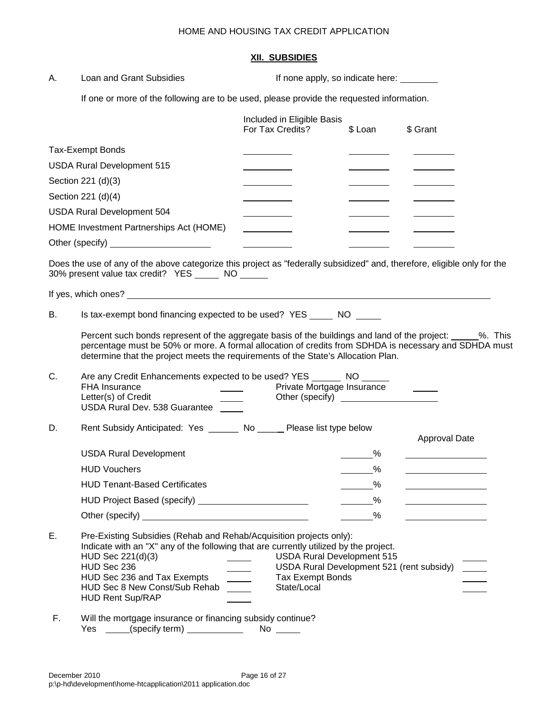### **XII. SUBSIDIES**

| А. | Loan and Grant Subsidies                                                                                                                                                                                                                                                                                                                                                                                                           | If none apply, so indicate here:                                                                                                             |               |                                               |  |  |
|----|------------------------------------------------------------------------------------------------------------------------------------------------------------------------------------------------------------------------------------------------------------------------------------------------------------------------------------------------------------------------------------------------------------------------------------|----------------------------------------------------------------------------------------------------------------------------------------------|---------------|-----------------------------------------------|--|--|
|    | If one or more of the following are to be used, please provide the requested information.                                                                                                                                                                                                                                                                                                                                          |                                                                                                                                              |               |                                               |  |  |
|    |                                                                                                                                                                                                                                                                                                                                                                                                                                    | Included in Eligible Basis<br>For Tax Credits?                                                                                               | \$ Loan       | \$ Grant                                      |  |  |
|    | <b>Tax-Exempt Bonds</b>                                                                                                                                                                                                                                                                                                                                                                                                            |                                                                                                                                              |               |                                               |  |  |
|    | <b>USDA Rural Development 515</b>                                                                                                                                                                                                                                                                                                                                                                                                  |                                                                                                                                              |               |                                               |  |  |
|    | Section 221 (d)(3)                                                                                                                                                                                                                                                                                                                                                                                                                 |                                                                                                                                              |               |                                               |  |  |
|    | Section 221 (d)(4)                                                                                                                                                                                                                                                                                                                                                                                                                 |                                                                                                                                              |               |                                               |  |  |
|    | <b>USDA Rural Development 504</b>                                                                                                                                                                                                                                                                                                                                                                                                  |                                                                                                                                              |               |                                               |  |  |
|    | HOME Investment Partnerships Act (HOME)                                                                                                                                                                                                                                                                                                                                                                                            |                                                                                                                                              |               |                                               |  |  |
|    |                                                                                                                                                                                                                                                                                                                                                                                                                                    |                                                                                                                                              |               |                                               |  |  |
|    | Does the use of any of the above categorize this project as "federally subsidized" and, therefore, eligible only for the<br>30% present value tax credit? YES ______ NO ______                                                                                                                                                                                                                                                     |                                                                                                                                              |               |                                               |  |  |
|    | If yes, which ones? <u>the contract of the contract of the contract of the contract of the contract of the contract of the contract of the contract of the contract of the contract of the contract of the contract of the contr</u>                                                                                                                                                                                               |                                                                                                                                              |               |                                               |  |  |
| В. | Is tax-exempt bond financing expected to be used? YES ______ NO _____                                                                                                                                                                                                                                                                                                                                                              |                                                                                                                                              |               |                                               |  |  |
| C. | Percent such bonds represent of the aggregate basis of the buildings and land of the project: _____%. This<br>percentage must be 50% or more. A formal allocation of credits from SDHDA is necessary and SDHDA must<br>determine that the project meets the requirements of the State's Allocation Plan.<br>Are any Credit Enhancements expected to be used? YES ________ NO ______<br><b>FHA Insurance</b><br>Letter(s) of Credit | Private Mortgage Insurance<br>Other (specify) <u>_____________________</u>                                                                   |               |                                               |  |  |
|    | USDA Rural Dev. 538 Guarantee                                                                                                                                                                                                                                                                                                                                                                                                      |                                                                                                                                              |               |                                               |  |  |
| D. | Rent Subsidy Anticipated: Yes _______ No _____ Please list type below                                                                                                                                                                                                                                                                                                                                                              |                                                                                                                                              |               | Approval Date                                 |  |  |
|    | <b>USDA Rural Development</b>                                                                                                                                                                                                                                                                                                                                                                                                      |                                                                                                                                              | %             |                                               |  |  |
|    | <b>HUD Vouchers</b>                                                                                                                                                                                                                                                                                                                                                                                                                |                                                                                                                                              | $\frac{9}{6}$ |                                               |  |  |
|    | <b>HUD Tenant-Based Certificates</b>                                                                                                                                                                                                                                                                                                                                                                                               |                                                                                                                                              | $\%$          | <u> 1980 - Johann Barbara, martxa al</u>      |  |  |
|    | HUD Project Based (specify) <b>No. 1997</b>                                                                                                                                                                                                                                                                                                                                                                                        |                                                                                                                                              | $\%$          | <u> 1990 - Johann Barbara, martin a</u>       |  |  |
|    | Other (specify) <u>contained a set of the set of the set of the set of the set of the set of the set of the set of the set of the set of the set of the set of the set of the set of the set of the set of the set of the set of</u>                                                                                                                                                                                               |                                                                                                                                              | $\%$          | <u> 1989 - Johann Marie Barnett, martin e</u> |  |  |
| Е. | Pre-Existing Subsidies (Rehab and Rehab/Acquisition projects only):<br>Indicate with an "X" any of the following that are currently utilized by the project.<br>HUD Sec 221(d)(3)<br>HUD Sec 236<br>HUD Sec 236 and Tax Exempts<br>HUD Sec 8 New Const/Sub Rehab<br>$\sim 10^{10}$ m $^{-1}$<br><b>HUD Rent Sup/RAP</b>                                                                                                            | <b>USDA Rural Development 515</b><br>USDA Rural Development 521 (rent subsidy)<br><b>Tax Exempt Bonds</b><br>$\sim$ 100 $\pm$<br>State/Local |               |                                               |  |  |
| F. | Will the mortgage insurance or financing subsidy continue?                                                                                                                                                                                                                                                                                                                                                                         |                                                                                                                                              |               |                                               |  |  |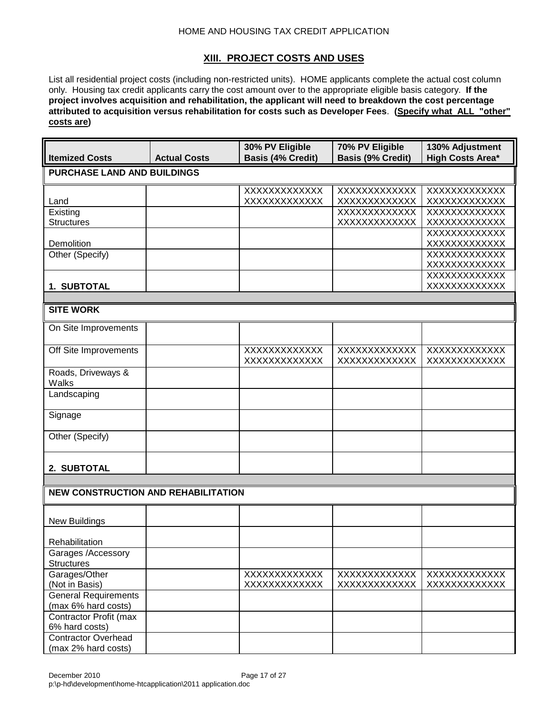## **XIII. PROJECT COSTS AND USES**

List all residential project costs (including non-restricted units). HOME applicants complete the actual cost column only. Housing tax credit applicants carry the cost amount over to the appropriate eligible basis category. **If the project involves acquisition and rehabilitation, the applicant will need to breakdown the cost percentage attributed to acquisition versus rehabilitation for costs such as Developer Fees**. **(Specify what ALL "other" costs are)**

| <b>Itemized Costs</b>                         | <b>Actual Costs</b> | 30% PV Eligible<br><b>Basis (4% Credit)</b> | 70% PV Eligible<br><b>Basis (9% Credit)</b> | 130% Adjustment<br><b>High Costs Area*</b> |  |  |  |
|-----------------------------------------------|---------------------|---------------------------------------------|---------------------------------------------|--------------------------------------------|--|--|--|
| <b>PURCHASE LAND AND BUILDINGS</b>            |                     |                                             |                                             |                                            |  |  |  |
| Land                                          |                     | <b>XXXXXXXXXXXXX</b><br>XXXXXXXXXXXX        | XXXXXXXXXXXX<br>XXXXXXXXXXXX                | XXXXXXXXXXXX<br>XXXXXXXXXXXX               |  |  |  |
| Existing<br><b>Structures</b>                 |                     |                                             | XXXXXXXXXXXX<br>XXXXXXXXXXXX                | XXXXXXXXXXXX<br>XXXXXXXXXXXX               |  |  |  |
| Demolition                                    |                     |                                             |                                             | XXXXXXXXXXXX<br>XXXXXXXXXXXX               |  |  |  |
| Other (Specify)                               |                     |                                             |                                             | <b>XXXXXXXXXXXXX</b><br>XXXXXXXXXXXX       |  |  |  |
| 1. SUBTOTAL                                   |                     |                                             |                                             | XXXXXXXXXXXX<br>XXXXXXXXXXXX               |  |  |  |
| <b>SITE WORK</b>                              |                     |                                             |                                             |                                            |  |  |  |
| On Site Improvements                          |                     |                                             |                                             |                                            |  |  |  |
| Off Site Improvements                         |                     | XXXXXXXXXXXX<br>XXXXXXXXXXXX                | XXXXXXXXXXXX<br><b>XXXXXXXXXXXXX</b>        | XXXXXXXXXXXX<br><b>XXXXXXXXXXXXX</b>       |  |  |  |
| Roads, Driveways &<br>Walks                   |                     |                                             |                                             |                                            |  |  |  |
| Landscaping                                   |                     |                                             |                                             |                                            |  |  |  |
| Signage                                       |                     |                                             |                                             |                                            |  |  |  |
| Other (Specify)                               |                     |                                             |                                             |                                            |  |  |  |
| 2. SUBTOTAL                                   |                     |                                             |                                             |                                            |  |  |  |
|                                               |                     |                                             |                                             |                                            |  |  |  |
| <b>NEW CONSTRUCTION AND REHABILITATION</b>    |                     |                                             |                                             |                                            |  |  |  |
| <b>New Buildings</b>                          |                     |                                             |                                             |                                            |  |  |  |
| Rehabilitation                                |                     |                                             |                                             |                                            |  |  |  |
| Garages /Accessory<br><b>Structures</b>       |                     |                                             |                                             |                                            |  |  |  |
| Garages/Other                                 |                     | XXXXXXXXXXXX                                | XXXXXXXXXXXX                                | XXXXXXXXXXXX                               |  |  |  |
| (Not in Basis)<br><b>General Requirements</b> |                     | XXXXXXXXXXXX                                | XXXXXXXXXXXX                                | XXXXXXXXXXXX                               |  |  |  |
| (max 6% hard costs)                           |                     |                                             |                                             |                                            |  |  |  |
| Contractor Profit (max<br>6% hard costs)      |                     |                                             |                                             |                                            |  |  |  |
| <b>Contractor Overhead</b>                    |                     |                                             |                                             |                                            |  |  |  |
| (max 2% hard costs)                           |                     |                                             |                                             |                                            |  |  |  |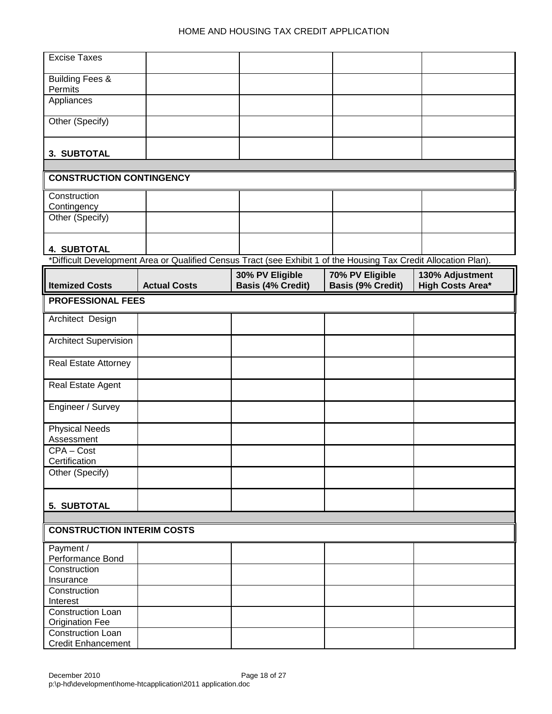| <b>Excise Taxes</b>               |                                                                                                                  |                          |                          |                         |
|-----------------------------------|------------------------------------------------------------------------------------------------------------------|--------------------------|--------------------------|-------------------------|
|                                   |                                                                                                                  |                          |                          |                         |
| <b>Building Fees &amp;</b>        |                                                                                                                  |                          |                          |                         |
| Permits                           |                                                                                                                  |                          |                          |                         |
| Appliances                        |                                                                                                                  |                          |                          |                         |
|                                   |                                                                                                                  |                          |                          |                         |
| Other (Specify)                   |                                                                                                                  |                          |                          |                         |
|                                   |                                                                                                                  |                          |                          |                         |
|                                   |                                                                                                                  |                          |                          |                         |
| 3. SUBTOTAL                       |                                                                                                                  |                          |                          |                         |
|                                   |                                                                                                                  |                          |                          |                         |
| <b>CONSTRUCTION CONTINGENCY</b>   |                                                                                                                  |                          |                          |                         |
| Construction                      |                                                                                                                  |                          |                          |                         |
| Contingency                       |                                                                                                                  |                          |                          |                         |
| Other (Specify)                   |                                                                                                                  |                          |                          |                         |
|                                   |                                                                                                                  |                          |                          |                         |
|                                   |                                                                                                                  |                          |                          |                         |
| <b>4. SUBTOTAL</b>                |                                                                                                                  |                          |                          |                         |
|                                   | *Difficult Development Area or Qualified Census Tract (see Exhibit 1 of the Housing Tax Credit Allocation Plan). |                          |                          |                         |
|                                   |                                                                                                                  | 30% PV Eligible          | 70% PV Eligible          | 130% Adjustment         |
| <b>Itemized Costs</b>             | <b>Actual Costs</b>                                                                                              | <b>Basis (4% Credit)</b> | <b>Basis (9% Credit)</b> | <b>High Costs Area*</b> |
| <b>PROFESSIONAL FEES</b>          |                                                                                                                  |                          |                          |                         |
|                                   |                                                                                                                  |                          |                          |                         |
| Architect Design                  |                                                                                                                  |                          |                          |                         |
|                                   |                                                                                                                  |                          |                          |                         |
| <b>Architect Supervision</b>      |                                                                                                                  |                          |                          |                         |
|                                   |                                                                                                                  |                          |                          |                         |
| <b>Real Estate Attorney</b>       |                                                                                                                  |                          |                          |                         |
| Real Estate Agent                 |                                                                                                                  |                          |                          |                         |
|                                   |                                                                                                                  |                          |                          |                         |
| Engineer / Survey                 |                                                                                                                  |                          |                          |                         |
|                                   |                                                                                                                  |                          |                          |                         |
| <b>Physical Needs</b>             |                                                                                                                  |                          |                          |                         |
| Assessment                        |                                                                                                                  |                          |                          |                         |
| CPA-Cost                          |                                                                                                                  |                          |                          |                         |
| Certification                     |                                                                                                                  |                          |                          |                         |
| Other (Specify)                   |                                                                                                                  |                          |                          |                         |
|                                   |                                                                                                                  |                          |                          |                         |
|                                   |                                                                                                                  |                          |                          |                         |
| 5. SUBTOTAL                       |                                                                                                                  |                          |                          |                         |
|                                   |                                                                                                                  |                          |                          |                         |
| <b>CONSTRUCTION INTERIM COSTS</b> |                                                                                                                  |                          |                          |                         |
| Payment /                         |                                                                                                                  |                          |                          |                         |
| Performance Bond                  |                                                                                                                  |                          |                          |                         |
| Construction                      |                                                                                                                  |                          |                          |                         |
| Insurance                         |                                                                                                                  |                          |                          |                         |
| Construction                      |                                                                                                                  |                          |                          |                         |
| Interest                          |                                                                                                                  |                          |                          |                         |
| Construction Loan                 |                                                                                                                  |                          |                          |                         |
| <b>Origination Fee</b>            |                                                                                                                  |                          |                          |                         |
| Construction Loan                 |                                                                                                                  |                          |                          |                         |
| <b>Credit Enhancement</b>         |                                                                                                                  |                          |                          |                         |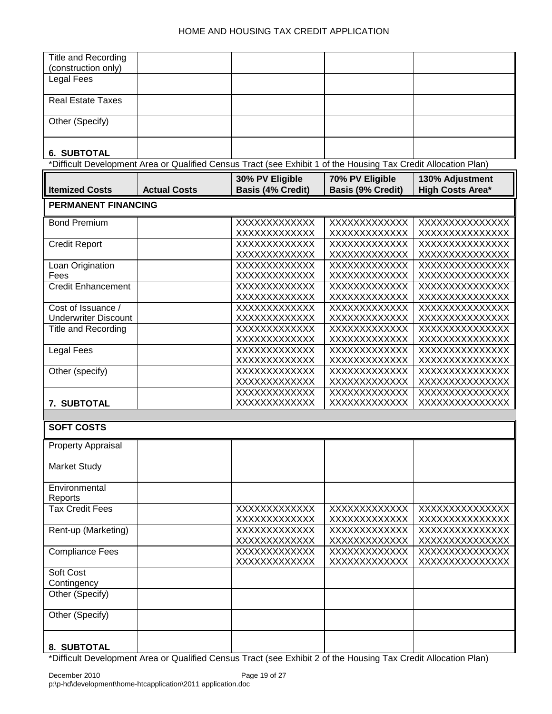| Title and Recording         |                                                                                                                 |                          |                          |                         |
|-----------------------------|-----------------------------------------------------------------------------------------------------------------|--------------------------|--------------------------|-------------------------|
| (construction only)         |                                                                                                                 |                          |                          |                         |
| Legal Fees                  |                                                                                                                 |                          |                          |                         |
|                             |                                                                                                                 |                          |                          |                         |
| <b>Real Estate Taxes</b>    |                                                                                                                 |                          |                          |                         |
|                             |                                                                                                                 |                          |                          |                         |
|                             |                                                                                                                 |                          |                          |                         |
| Other (Specify)             |                                                                                                                 |                          |                          |                         |
|                             |                                                                                                                 |                          |                          |                         |
|                             |                                                                                                                 |                          |                          |                         |
| <b>6. SUBTOTAL</b>          |                                                                                                                 |                          |                          |                         |
|                             | *Difficult Development Area or Qualified Census Tract (see Exhibit 1 of the Housing Tax Credit Allocation Plan) |                          |                          |                         |
|                             |                                                                                                                 |                          |                          |                         |
|                             |                                                                                                                 | 30% PV Eligible          | 70% PV Eligible          | 130% Adjustment         |
| <b>Itemized Costs</b>       | <b>Actual Costs</b>                                                                                             | <b>Basis (4% Credit)</b> | <b>Basis (9% Credit)</b> | <b>High Costs Area*</b> |
| <b>PERMANENT FINANCING</b>  |                                                                                                                 |                          |                          |                         |
|                             |                                                                                                                 |                          |                          |                         |
| <b>Bond Premium</b>         |                                                                                                                 | XXXXXXXXXXXX             | XXXXXXXXXXXX             | XXXXXXXXXXXXXX          |
|                             |                                                                                                                 | XXXXXXXXXXXX             | XXXXXXXXXXXX             | XXXXXXXXXXXXXX          |
|                             |                                                                                                                 |                          |                          |                         |
| <b>Credit Report</b>        |                                                                                                                 | XXXXXXXXXXXX             | XXXXXXXXXXXX             | XXXXXXXXXXXXXXX         |
|                             |                                                                                                                 | XXXXXXXXXXXX             | XXXXXXXXXXXX             | XXXXXXXXXXXXXX          |
| Loan Origination            |                                                                                                                 | XXXXXXXXXXXX             | XXXXXXXXXXXXX            | XXXXXXXXXXXXXX          |
| Fees                        |                                                                                                                 | XXXXXXXXXXXX             | XXXXXXXXXXXX             | XXXXXXXXXXXXXX          |
| <b>Credit Enhancement</b>   |                                                                                                                 | XXXXXXXXXXXX             | XXXXXXXXXXXX             | XXXXXXXXXXXXXX          |
|                             |                                                                                                                 | XXXXXXXXXXXX             | XXXXXXXXXXXX             | XXXXXXXXXXXXXX          |
| Cost of Issuance /          |                                                                                                                 | XXXXXXXXXXXX             | XXXXXXXXXXXX             | XXXXXXXXXXXXXX          |
| <b>Underwriter Discount</b> |                                                                                                                 | XXXXXXXXXXXX             | XXXXXXXXXXXX             | XXXXXXXXXXXXXX          |
|                             |                                                                                                                 |                          |                          |                         |
| <b>Title and Recording</b>  |                                                                                                                 | XXXXXXXXXXXX             | XXXXXXXXXXXXX            | XXXXXXXXXXXXXX          |
|                             |                                                                                                                 | <b>XXXXXXXXXXXXX</b>     | XXXXXXXXXXXX             | XXXXXXXXXXXXXX          |
| <b>Legal Fees</b>           |                                                                                                                 | XXXXXXXXXXXX             | XXXXXXXXXXXX             | XXXXXXXXXXXXXX          |
|                             |                                                                                                                 | XXXXXXXXXXXX             | XXXXXXXXXXXX             | XXXXXXXXXXXXXX          |
| Other (specify)             |                                                                                                                 | XXXXXXXXXXXX             | XXXXXXXXXXXX             | XXXXXXXXXXXXXX          |
|                             |                                                                                                                 | <b>XXXXXXXXXXXXX</b>     | XXXXXXXXXXXX             | XXXXXXXXXXXXXX          |
|                             |                                                                                                                 | XXXXXXXXXXXX             | XXXXXXXXXXXX             | XXXXXXXXXXXXXX          |
| 7. SUBTOTAL                 |                                                                                                                 | XXXXXXXXXXXX             | XXXXXXXXXXXX             | XXXXXXXXXXXXXX          |
|                             |                                                                                                                 |                          |                          |                         |
|                             |                                                                                                                 |                          |                          |                         |
| <b>SOFT COSTS</b>           |                                                                                                                 |                          |                          |                         |
|                             |                                                                                                                 |                          |                          |                         |
| <b>Property Appraisal</b>   |                                                                                                                 |                          |                          |                         |
|                             |                                                                                                                 |                          |                          |                         |
| <b>Market Study</b>         |                                                                                                                 |                          |                          |                         |
|                             |                                                                                                                 |                          |                          |                         |
| Environmental               |                                                                                                                 |                          |                          |                         |
| Reports                     |                                                                                                                 |                          |                          |                         |
| <b>Tax Credit Fees</b>      |                                                                                                                 |                          |                          |                         |
|                             |                                                                                                                 | XXXXXXXXXXXX             | XXXXXXXXXXXX             | XXXXXXXXXXXXXX          |
|                             |                                                                                                                 | XXXXXXXXXXXX             | XXXXXXXXXXXX             | XXXXXXXXXXXXXX          |
| Rent-up (Marketing)         |                                                                                                                 | XXXXXXXXXXXX             | XXXXXXXXXXXX             | XXXXXXXXXXXXXX          |
|                             |                                                                                                                 | XXXXXXXXXXXX             | XXXXXXXXXXXX             | XXXXXXXXXXXXXX          |
| <b>Compliance Fees</b>      |                                                                                                                 | XXXXXXXXXXXX             | XXXXXXXXXXXX             | XXXXXXXXXXXXXX          |
|                             |                                                                                                                 | XXXXXXXXXXXX             | XXXXXXXXXXXX             | XXXXXXXXXXXXXX          |
| Soft Cost                   |                                                                                                                 |                          |                          |                         |
| Contingency                 |                                                                                                                 |                          |                          |                         |
|                             |                                                                                                                 |                          |                          |                         |
| Other (Specify)             |                                                                                                                 |                          |                          |                         |
|                             |                                                                                                                 |                          |                          |                         |
| Other (Specify)             |                                                                                                                 |                          |                          |                         |
|                             |                                                                                                                 |                          |                          |                         |
|                             |                                                                                                                 |                          |                          |                         |
| 8. SUBTOTAL                 |                                                                                                                 |                          |                          |                         |

\*Difficult Development Area or Qualified Census Tract (see Exhibit 2 of the Housing Tax Credit Allocation Plan)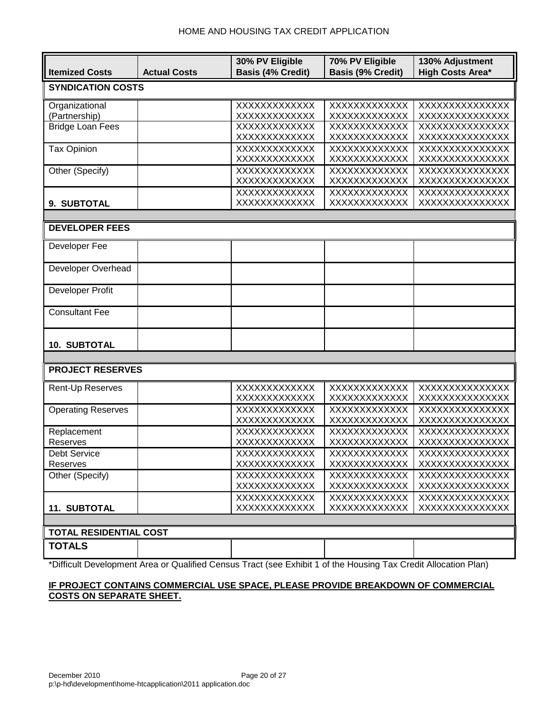|                               |                     | 30% PV Eligible              | 70% PV Eligible              | 130% Adjustment                  |
|-------------------------------|---------------------|------------------------------|------------------------------|----------------------------------|
| <b>Itemized Costs</b>         | <b>Actual Costs</b> | <b>Basis (4% Credit)</b>     | <b>Basis (9% Credit)</b>     | <b>High Costs Area*</b>          |
| <b>SYNDICATION COSTS</b>      |                     |                              |                              |                                  |
|                               |                     |                              |                              |                                  |
| Organizational                |                     | XXXXXXXXXXXXX                | XXXXXXXXXXXXX                | XXXXXXXXXXXXXX                   |
| (Partnership)                 |                     | XXXXXXXXXXXXX                | XXXXXXXXXXXX                 | XXXXXXXXXXXXXX                   |
| <b>Bridge Loan Fees</b>       |                     | XXXXXXXXXXXX                 | XXXXXXXXXXXX                 | XXXXXXXXXXXXXX                   |
| <b>Tax Opinion</b>            |                     | XXXXXXXXXXXX                 | XXXXXXXXXXXX                 | XXXXXXXXXXXXXX                   |
|                               |                     | XXXXXXXXXXXX<br>XXXXXXXXXXXX | XXXXXXXXXXXX<br>XXXXXXXXXXXX | XXXXXXXXXXXXXX<br>XXXXXXXXXXXXXX |
| Other (Specify)               |                     | XXXXXXXXXXXX                 | XXXXXXXXXXXX                 | XXXXXXXXXXXXXX                   |
|                               |                     | XXXXXXXXXXXXX                | XXXXXXXXXXXX                 | XXXXXXXXXXXXXX                   |
|                               |                     | XXXXXXXXXXXX                 | XXXXXXXXXXXX                 | XXXXXXXXXXXXXX                   |
| 9. SUBTOTAL                   |                     | XXXXXXXXXXXX                 | XXXXXXXXXXXX                 | XXXXXXXXXXXXXX                   |
|                               |                     |                              |                              |                                  |
| <b>DEVELOPER FEES</b>         |                     |                              |                              |                                  |
|                               |                     |                              |                              |                                  |
| Developer Fee                 |                     |                              |                              |                                  |
|                               |                     |                              |                              |                                  |
| Developer Overhead            |                     |                              |                              |                                  |
|                               |                     |                              |                              |                                  |
| Developer Profit              |                     |                              |                              |                                  |
|                               |                     |                              |                              |                                  |
| <b>Consultant Fee</b>         |                     |                              |                              |                                  |
|                               |                     |                              |                              |                                  |
|                               |                     |                              |                              |                                  |
| <b>10. SUBTOTAL</b>           |                     |                              |                              |                                  |
|                               |                     |                              |                              |                                  |
| <b>PROJECT RESERVES</b>       |                     |                              |                              |                                  |
| Rent-Up Reserves              |                     | XXXXXXXXXXXX                 | XXXXXXXXXXXXX                | XXXXXXXXXXXXXX                   |
|                               |                     | XXXXXXXXXXXX                 | XXXXXXXXXXXX                 | XXXXXXXXXXXXXX                   |
| <b>Operating Reserves</b>     |                     | XXXXXXXXXXXX                 | XXXXXXXXXXXX                 | XXXXXXXXXXXXXX                   |
|                               |                     | XXXXXXXXXXXX                 | XXXXXXXXXXXXX                | XXXXXXXXXXXXXX                   |
| Replacement                   |                     | XXXXXXXXXXXX                 | XXXXXXXXXXXXX                | XXXXXXXXXXXXXX                   |
| Reserves                      |                     | XXXXXXXXXXXX                 | XXXXXXXXXXXX                 | XXXXXXXXXXXXXX                   |
| <b>Debt Service</b>           |                     | XXXXXXXXXXXX                 | XXXXXXXXXXXX                 | XXXXXXXXXXXXXX                   |
| Reserves                      |                     | XXXXXXXXXXXX                 | XXXXXXXXXXXX                 | XXXXXXXXXXXXXX                   |
| Other (Specify)               |                     | XXXXXXXXXXXX                 | XXXXXXXXXXXX                 | XXXXXXXXXXXXXX                   |
|                               |                     | XXXXXXXXXXXX                 | XXXXXXXXXXXX                 | XXXXXXXXXXXXXX                   |
|                               |                     | XXXXXXXXXXXX                 | XXXXXXXXXXXX                 | XXXXXXXXXXXXXX                   |
| <b>11. SUBTOTAL</b>           |                     | XXXXXXXXXXXX                 | XXXXXXXXXXXX                 | XXXXXXXXXXXXXX                   |
|                               |                     |                              |                              |                                  |
| <b>TOTAL RESIDENTIAL COST</b> |                     |                              |                              |                                  |
| <b>TOTALS</b>                 |                     |                              |                              |                                  |
|                               |                     |                              |                              |                                  |

\*Difficult Development Area or Qualified Census Tract (see Exhibit 1 of the Housing Tax Credit Allocation Plan)

## **IF PROJECT CONTAINS COMMERCIAL USE SPACE, PLEASE PROVIDE BREAKDOWN OF COMMERCIAL COSTS ON SEPARATE SHEET.**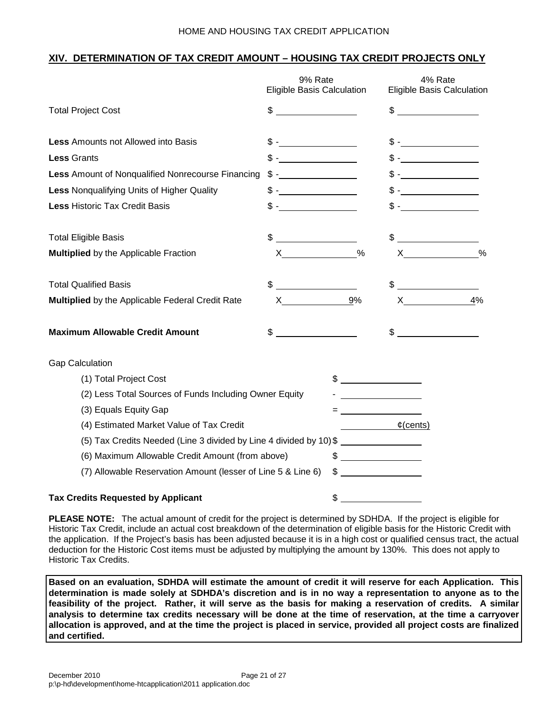## **XIV. DETERMINATION OF TAX CREDIT AMOUNT – HOUSING TAX CREDIT PROJECTS ONLY**

|                                                                    | 9% Rate<br>Eligible Basis Calculation                                                                                                                                                                                                                                                                                                                                                                                           |               | 4% Rate<br>Eligible Basis Calculation                                                                                                                                                                                                                                                                                                                                                                                             |               |
|--------------------------------------------------------------------|---------------------------------------------------------------------------------------------------------------------------------------------------------------------------------------------------------------------------------------------------------------------------------------------------------------------------------------------------------------------------------------------------------------------------------|---------------|-----------------------------------------------------------------------------------------------------------------------------------------------------------------------------------------------------------------------------------------------------------------------------------------------------------------------------------------------------------------------------------------------------------------------------------|---------------|
| <b>Total Project Cost</b>                                          | $\frac{1}{2}$ $\frac{1}{2}$ $\frac{1}{2}$ $\frac{1}{2}$ $\frac{1}{2}$ $\frac{1}{2}$ $\frac{1}{2}$ $\frac{1}{2}$ $\frac{1}{2}$ $\frac{1}{2}$ $\frac{1}{2}$ $\frac{1}{2}$ $\frac{1}{2}$ $\frac{1}{2}$ $\frac{1}{2}$ $\frac{1}{2}$ $\frac{1}{2}$ $\frac{1}{2}$ $\frac{1}{2}$ $\frac{1}{2}$ $\frac{1}{2}$ $\frac{1}{2}$                                                                                                             |               | $\frac{1}{2}$                                                                                                                                                                                                                                                                                                                                                                                                                     |               |
| <b>Less Amounts not Allowed into Basis</b>                         | $\updownarrow$ - $\qquad \qquad$                                                                                                                                                                                                                                                                                                                                                                                                |               |                                                                                                                                                                                                                                                                                                                                                                                                                                   |               |
| <b>Less Grants</b>                                                 | $$ -$                                                                                                                                                                                                                                                                                                                                                                                                                           |               |                                                                                                                                                                                                                                                                                                                                                                                                                                   |               |
| Less Amount of Nonqualified Nonrecourse Financing                  |                                                                                                                                                                                                                                                                                                                                                                                                                                 |               | $\frac{1}{2}$ 5 - <u>____________</u>                                                                                                                                                                                                                                                                                                                                                                                             |               |
| <b>Less Nonqualifying Units of Higher Quality</b>                  | $\frac{1}{\sqrt{1-\frac{1}{2}}}\frac{1}{\sqrt{1-\frac{1}{2}}}\frac{1}{\sqrt{1-\frac{1}{2}}}\frac{1}{\sqrt{1-\frac{1}{2}}}\frac{1}{\sqrt{1-\frac{1}{2}}}\frac{1}{\sqrt{1-\frac{1}{2}}}\frac{1}{\sqrt{1-\frac{1}{2}}}\frac{1}{\sqrt{1-\frac{1}{2}}}\frac{1}{\sqrt{1-\frac{1}{2}}}\frac{1}{\sqrt{1-\frac{1}{2}}}\frac{1}{\sqrt{1-\frac{1}{2}}}\frac{1}{\sqrt{1-\frac{1}{2}}}\frac{1}{\sqrt{1-\frac{1}{2}}}\frac{1}{\sqrt{1-\frac{$ |               |                                                                                                                                                                                                                                                                                                                                                                                                                                   |               |
| <b>Less Historic Tax Credit Basis</b>                              | $\mathbb{S}$ - $\blacksquare$                                                                                                                                                                                                                                                                                                                                                                                                   |               |                                                                                                                                                                                                                                                                                                                                                                                                                                   |               |
| <b>Total Eligible Basis</b>                                        | \$                                                                                                                                                                                                                                                                                                                                                                                                                              |               | \$                                                                                                                                                                                                                                                                                                                                                                                                                                |               |
| <b>Multiplied</b> by the Applicable Fraction                       |                                                                                                                                                                                                                                                                                                                                                                                                                                 | $\frac{0}{0}$ | $\boldsymbol{\mathsf{X}}$ and $\boldsymbol{\mathsf{X}}$ and $\boldsymbol{\mathsf{X}}$ and $\boldsymbol{\mathsf{X}}$ and $\boldsymbol{\mathsf{X}}$ and $\boldsymbol{\mathsf{X}}$ and $\boldsymbol{\mathsf{X}}$ and $\boldsymbol{\mathsf{X}}$ and $\boldsymbol{\mathsf{X}}$ and $\boldsymbol{\mathsf{X}}$ and $\boldsymbol{\mathsf{X}}$ and $\boldsymbol{\mathsf{X}}$ and $\boldsymbol{\mathsf{X}}$ and $\boldsymbol{\mathsf{X}}$ a | $\frac{0}{0}$ |
| <b>Total Qualified Basis</b>                                       |                                                                                                                                                                                                                                                                                                                                                                                                                                 |               | $\begin{picture}(20,10) \put(0,0){\line(1,0){10}} \put(15,0){\line(1,0){10}} \put(15,0){\line(1,0){10}} \put(15,0){\line(1,0){10}} \put(15,0){\line(1,0){10}} \put(15,0){\line(1,0){10}} \put(15,0){\line(1,0){10}} \put(15,0){\line(1,0){10}} \put(15,0){\line(1,0){10}} \put(15,0){\line(1,0){10}} \put(15,0){\line(1,0){10}} \put(15,0){\line(1$                                                                               |               |
| Multiplied by the Applicable Federal Credit Rate                   | $X \sim$                                                                                                                                                                                                                                                                                                                                                                                                                        | 9%            | $\boldsymbol{\mathsf{X}}$                                                                                                                                                                                                                                                                                                                                                                                                         | 4%            |
| <b>Maximum Allowable Credit Amount</b>                             | $\sim$                                                                                                                                                                                                                                                                                                                                                                                                                          |               | $\frac{1}{2}$                                                                                                                                                                                                                                                                                                                                                                                                                     |               |
| <b>Gap Calculation</b>                                             |                                                                                                                                                                                                                                                                                                                                                                                                                                 |               |                                                                                                                                                                                                                                                                                                                                                                                                                                   |               |
| (1) Total Project Cost                                             |                                                                                                                                                                                                                                                                                                                                                                                                                                 | $\frac{1}{2}$ |                                                                                                                                                                                                                                                                                                                                                                                                                                   |               |
| (2) Less Total Sources of Funds Including Owner Equity             |                                                                                                                                                                                                                                                                                                                                                                                                                                 |               | <u> 1989 - Jan Stein Stein Stein Stein Stein Stein Stein Stein Stein Stein Stein Stein Stein Stein Stein Stein S</u>                                                                                                                                                                                                                                                                                                              |               |
| (3) Equals Equity Gap                                              |                                                                                                                                                                                                                                                                                                                                                                                                                                 |               |                                                                                                                                                                                                                                                                                                                                                                                                                                   |               |
| (4) Estimated Market Value of Tax Credit                           |                                                                                                                                                                                                                                                                                                                                                                                                                                 |               | $\mathfrak{c}(\text{cents})$                                                                                                                                                                                                                                                                                                                                                                                                      |               |
| (5) Tax Credits Needed (Line 3 divided by Line 4 divided by 10) \$ |                                                                                                                                                                                                                                                                                                                                                                                                                                 |               |                                                                                                                                                                                                                                                                                                                                                                                                                                   |               |
| (6) Maximum Allowable Credit Amount (from above)                   |                                                                                                                                                                                                                                                                                                                                                                                                                                 | $\frac{1}{2}$ |                                                                                                                                                                                                                                                                                                                                                                                                                                   |               |
| (7) Allowable Reservation Amount (lesser of Line 5 & Line 6)       |                                                                                                                                                                                                                                                                                                                                                                                                                                 | $\frac{1}{2}$ |                                                                                                                                                                                                                                                                                                                                                                                                                                   |               |
| <b>Tax Credits Requested by Applicant</b>                          |                                                                                                                                                                                                                                                                                                                                                                                                                                 | \$            |                                                                                                                                                                                                                                                                                                                                                                                                                                   |               |

**PLEASE NOTE:** The actual amount of credit for the project is determined by SDHDA. If the project is eligible for Historic Tax Credit, include an actual cost breakdown of the determination of eligible basis for the Historic Credit with the application. If the Project's basis has been adjusted because it is in a high cost or qualified census tract, the actual deduction for the Historic Cost items must be adjusted by multiplying the amount by 130%. This does not apply to Historic Tax Credits.

**Based on an evaluation, SDHDA will estimate the amount of credit it will reserve for each Application. This determination is made solely at SDHDA's discretion and is in no way a representation to anyone as to the feasibility of the project. Rather, it will serve as the basis for making a reservation of credits. A similar analysis to determine tax credits necessary will be done at the time of reservation, at the time a carryover allocation is approved, and at the time the project is placed in service, provided all project costs are finalized and certified.**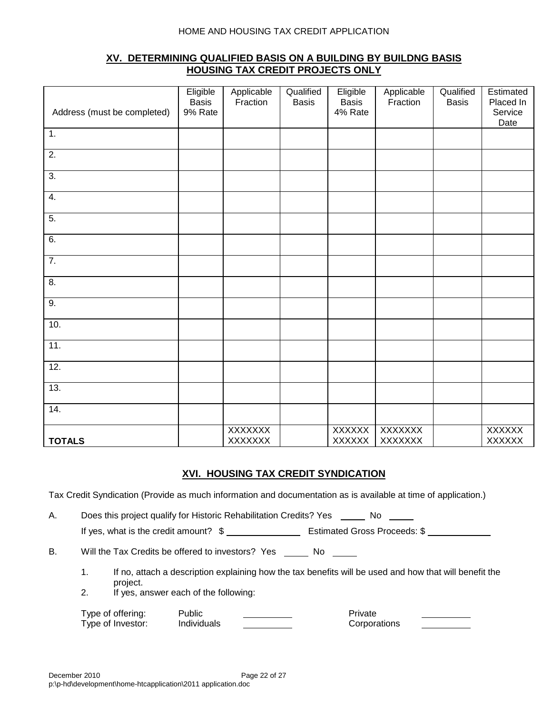## **XV. DETERMINING QUALIFIED BASIS ON A BUILDING BY BUILDNG BASIS HOUSING TAX CREDIT PROJECTS ONLY**

| Address (must be completed) | Eligible<br><b>Basis</b><br>9% Rate | Applicable<br>Fraction           | Qualified<br><b>Basis</b> | Eligible<br><b>Basis</b><br>4% Rate | Applicable<br>Fraction    | Qualified<br><b>Basis</b> | Estimated<br>Placed In<br>Service<br>Date |
|-----------------------------|-------------------------------------|----------------------------------|---------------------------|-------------------------------------|---------------------------|---------------------------|-------------------------------------------|
| 1.                          |                                     |                                  |                           |                                     |                           |                           |                                           |
| $\overline{2}$ .            |                                     |                                  |                           |                                     |                           |                           |                                           |
| $\overline{3}$ .            |                                     |                                  |                           |                                     |                           |                           |                                           |
| 4.                          |                                     |                                  |                           |                                     |                           |                           |                                           |
| $\overline{5}$ .            |                                     |                                  |                           |                                     |                           |                           |                                           |
| 6.                          |                                     |                                  |                           |                                     |                           |                           |                                           |
| $\overline{7}$ .            |                                     |                                  |                           |                                     |                           |                           |                                           |
| 8.                          |                                     |                                  |                           |                                     |                           |                           |                                           |
| $\overline{9}$ .            |                                     |                                  |                           |                                     |                           |                           |                                           |
| 10.                         |                                     |                                  |                           |                                     |                           |                           |                                           |
| 11.                         |                                     |                                  |                           |                                     |                           |                           |                                           |
| 12.                         |                                     |                                  |                           |                                     |                           |                           |                                           |
| 13.                         |                                     |                                  |                           |                                     |                           |                           |                                           |
| 14.                         |                                     |                                  |                           |                                     |                           |                           |                                           |
| <b>TOTALS</b>               |                                     | <b>XXXXXXX</b><br><b>XXXXXXX</b> |                           | <b>XXXXXX</b><br><b>XXXXXX</b>      | XXXXXXX<br><b>XXXXXXX</b> |                           | <b>XXXXXX</b><br>XXXXXX                   |

### **XVI. HOUSING TAX CREDIT SYNDICATION**

Tax Credit Syndication (Provide as much information and documentation as is available at time of application.)

A. Does this project qualify for Historic Rehabilitation Credits? Yes \_\_\_\_\_ No \_\_\_\_

If yes, what is the credit amount?  $\$ 

B. Will the Tax Credits be offered to investors? Yes No

- 1. If no, attach a description explaining how the tax benefits will be used and how that will benefit the project.
- 2. If yes, answer each of the following:

| Type of offering: | Public      | Private      |
|-------------------|-------------|--------------|
| Type of Investor: | Individuals | Corporations |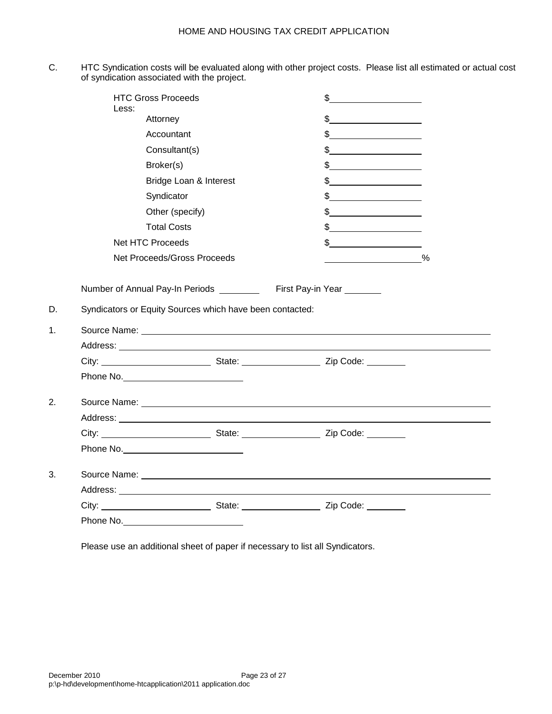C. HTC Syndication costs will be evaluated along with other project costs. Please list all estimated or actual cost of syndication associated with the project.

| <b>HTC Gross Proceeds</b><br>Less:                                                                                                |                        | $\frac{1}{2}$                                                                                                                                                                                                                                                                                                                                                                                                                   |      |
|-----------------------------------------------------------------------------------------------------------------------------------|------------------------|---------------------------------------------------------------------------------------------------------------------------------------------------------------------------------------------------------------------------------------------------------------------------------------------------------------------------------------------------------------------------------------------------------------------------------|------|
| Attorney                                                                                                                          |                        | $\frac{1}{2}$                                                                                                                                                                                                                                                                                                                                                                                                                   |      |
| Accountant                                                                                                                        |                        | $\frac{1}{2}$ $\frac{1}{2}$ $\frac{1}{2}$ $\frac{1}{2}$ $\frac{1}{2}$ $\frac{1}{2}$ $\frac{1}{2}$ $\frac{1}{2}$ $\frac{1}{2}$ $\frac{1}{2}$ $\frac{1}{2}$ $\frac{1}{2}$ $\frac{1}{2}$ $\frac{1}{2}$ $\frac{1}{2}$ $\frac{1}{2}$ $\frac{1}{2}$ $\frac{1}{2}$ $\frac{1}{2}$ $\frac{1}{2}$ $\frac{1}{2}$ $\frac{1}{2}$                                                                                                             |      |
| Consultant(s)                                                                                                                     |                        | $\begin{array}{c c c c c} \hline \texttt{S} & \texttt{S} & \texttt{S} & \texttt{S} & \texttt{S} & \texttt{S} & \texttt{S} & \texttt{S} & \texttt{S} & \texttt{S} & \texttt{S} & \texttt{S} & \texttt{S} & \texttt{S} & \texttt{S} & \texttt{S} & \texttt{S} & \texttt{S} & \texttt{S} & \texttt{S} & \texttt{S} & \texttt{S} & \texttt{S} & \texttt{S} & \texttt{S} & \texttt{S} & \texttt{S} & \texttt{S} & \texttt{S}$        |      |
| Broker(s)                                                                                                                         |                        | $\frac{1}{\sqrt{1-\frac{1}{2}}}\frac{1}{\sqrt{1-\frac{1}{2}}}\frac{1}{\sqrt{1-\frac{1}{2}}}\frac{1}{\sqrt{1-\frac{1}{2}}}\frac{1}{\sqrt{1-\frac{1}{2}}}\frac{1}{\sqrt{1-\frac{1}{2}}}\frac{1}{\sqrt{1-\frac{1}{2}}}\frac{1}{\sqrt{1-\frac{1}{2}}}\frac{1}{\sqrt{1-\frac{1}{2}}}\frac{1}{\sqrt{1-\frac{1}{2}}}\frac{1}{\sqrt{1-\frac{1}{2}}}\frac{1}{\sqrt{1-\frac{1}{2}}}\frac{1}{\sqrt{1-\frac{1}{2}}}\frac{1}{\sqrt{1-\frac{$ |      |
|                                                                                                                                   | Bridge Loan & Interest | $\frac{1}{2}$                                                                                                                                                                                                                                                                                                                                                                                                                   |      |
| Syndicator                                                                                                                        |                        | $\frac{1}{2}$                                                                                                                                                                                                                                                                                                                                                                                                                   |      |
| Other (specify)                                                                                                                   |                        | $\frac{1}{2}$                                                                                                                                                                                                                                                                                                                                                                                                                   |      |
| <b>Total Costs</b>                                                                                                                |                        | $\frac{1}{2}$ $\frac{1}{2}$ $\frac{1}{2}$ $\frac{1}{2}$ $\frac{1}{2}$ $\frac{1}{2}$ $\frac{1}{2}$ $\frac{1}{2}$ $\frac{1}{2}$ $\frac{1}{2}$ $\frac{1}{2}$ $\frac{1}{2}$ $\frac{1}{2}$ $\frac{1}{2}$ $\frac{1}{2}$ $\frac{1}{2}$ $\frac{1}{2}$ $\frac{1}{2}$ $\frac{1}{2}$ $\frac{1}{2}$ $\frac{1}{2}$ $\frac{1}{2}$                                                                                                             |      |
| Net HTC Proceeds                                                                                                                  |                        |                                                                                                                                                                                                                                                                                                                                                                                                                                 |      |
| Net Proceeds/Gross Proceeds                                                                                                       |                        |                                                                                                                                                                                                                                                                                                                                                                                                                                 | $\%$ |
| Number of Annual Pay-In Periods ___________ First Pay-in Year _______<br>Syndicators or Equity Sources which have been contacted: |                        |                                                                                                                                                                                                                                                                                                                                                                                                                                 |      |
|                                                                                                                                   |                        | Source Name: <u>Name: Name Source Name</u> Control of the Source Name Control of the Source Name Control of the Source Of the Source of the Source of the Source of the Source of the Source of the Source of the Source of the Sou                                                                                                                                                                                             |      |
|                                                                                                                                   |                        |                                                                                                                                                                                                                                                                                                                                                                                                                                 |      |
|                                                                                                                                   |                        |                                                                                                                                                                                                                                                                                                                                                                                                                                 |      |
|                                                                                                                                   |                        |                                                                                                                                                                                                                                                                                                                                                                                                                                 |      |
|                                                                                                                                   |                        |                                                                                                                                                                                                                                                                                                                                                                                                                                 |      |
|                                                                                                                                   |                        |                                                                                                                                                                                                                                                                                                                                                                                                                                 |      |
|                                                                                                                                   |                        |                                                                                                                                                                                                                                                                                                                                                                                                                                 |      |
|                                                                                                                                   |                        |                                                                                                                                                                                                                                                                                                                                                                                                                                 |      |
|                                                                                                                                   |                        |                                                                                                                                                                                                                                                                                                                                                                                                                                 |      |
|                                                                                                                                   |                        |                                                                                                                                                                                                                                                                                                                                                                                                                                 |      |
|                                                                                                                                   |                        | City: City: City: City: City: City: City: City: Code:                                                                                                                                                                                                                                                                                                                                                                           |      |

Please use an additional sheet of paper if necessary to list all Syndicators.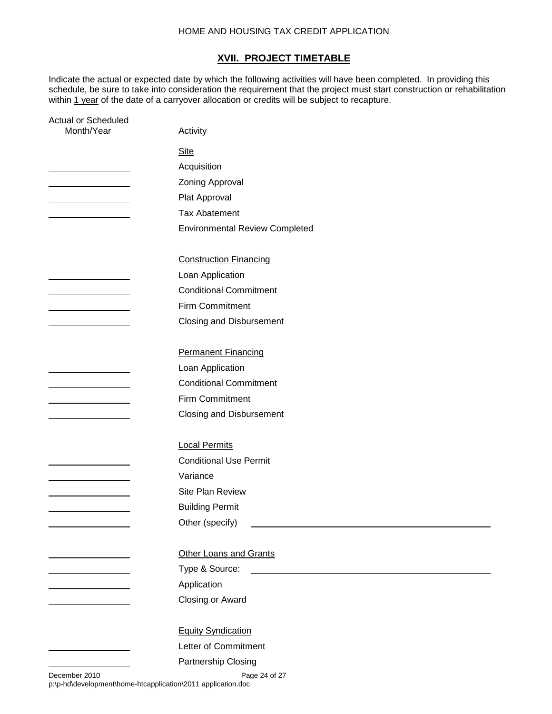#### **XVII. PROJECT TIMETABLE**

Indicate the actual or expected date by which the following activities will have been completed. In providing this schedule, be sure to take into consideration the requirement that the project must start construction or rehabilitation within <u>1 year</u> of the date of a carryover allocation or credits will be subject to recapture.

| Actual or Scheduled<br>Month/Year                               | Activity                                                                       |
|-----------------------------------------------------------------|--------------------------------------------------------------------------------|
|                                                                 | <b>Site</b>                                                                    |
|                                                                 | Acquisition                                                                    |
|                                                                 | Zoning Approval                                                                |
|                                                                 | Plat Approval                                                                  |
|                                                                 | <b>Tax Abatement</b>                                                           |
|                                                                 | <b>Environmental Review Completed</b>                                          |
|                                                                 |                                                                                |
|                                                                 | <b>Construction Financing</b>                                                  |
|                                                                 | Loan Application                                                               |
|                                                                 | <b>Conditional Commitment</b>                                                  |
| <u> 1980 - Johann Barn, mars an t-Amerikaansk ferskeider (</u>  | Firm Commitment                                                                |
|                                                                 | <b>Closing and Disbursement</b>                                                |
|                                                                 |                                                                                |
|                                                                 | <b>Permanent Financing</b>                                                     |
|                                                                 | Loan Application                                                               |
|                                                                 | <b>Conditional Commitment</b>                                                  |
|                                                                 | Firm Commitment                                                                |
|                                                                 | <b>Closing and Disbursement</b>                                                |
|                                                                 |                                                                                |
|                                                                 | <b>Local Permits</b>                                                           |
|                                                                 | <b>Conditional Use Permit</b>                                                  |
|                                                                 | Variance                                                                       |
|                                                                 | Site Plan Review                                                               |
|                                                                 | <b>Building Permit</b>                                                         |
|                                                                 | Other (specify)<br><u> 1989 - Johann Stoff, amerikansk politiker (d. 1989)</u> |
|                                                                 |                                                                                |
|                                                                 | <b>Other Loans and Grants</b>                                                  |
| <u> 1980 - Johann Barn, mars an t-Amerikaansk kommunister (</u> | Type & Source:                                                                 |
|                                                                 | Application                                                                    |
|                                                                 | Closing or Award                                                               |
|                                                                 |                                                                                |
|                                                                 | <b>Equity Syndication</b>                                                      |
|                                                                 | Letter of Commitment                                                           |
|                                                                 | Partnership Closing                                                            |
|                                                                 |                                                                                |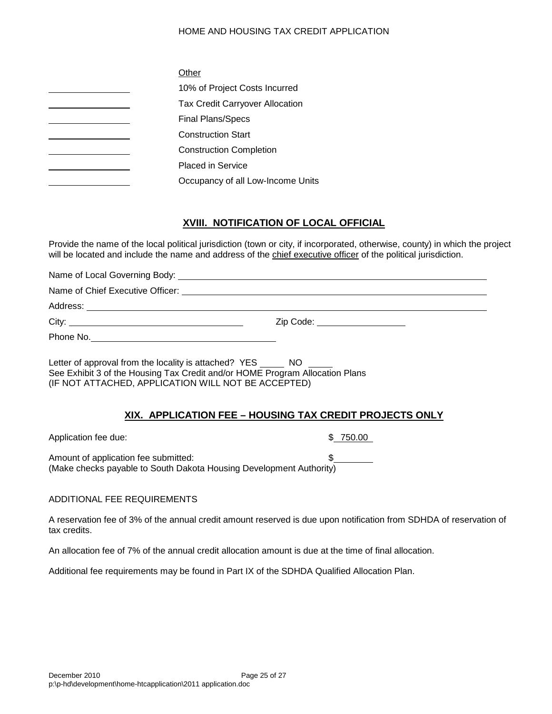| Other                                  |
|----------------------------------------|
| 10% of Project Costs Incurred          |
| <b>Tax Credit Carryover Allocation</b> |
| <b>Final Plans/Specs</b>               |
| <b>Construction Start</b>              |
| <b>Construction Completion</b>         |
| <b>Placed in Service</b>               |
| Occupancy of all Low-Income Units      |

## **XVIII. NOTIFICATION OF LOCAL OFFICIAL**

Provide the name of the local political jurisdiction (town or city, if incorporated, otherwise, county) in which the project will be located and include the name and address of the chief executive officer of the political jurisdiction.

Name of Local Governing Body:

Name of Chief Executive Officer:

Address: **Address: Address: Address: Address: Address: Address: Address: Address: Address: Address: Address: Address: Address: Address: Address: Address: Address: Address: Address: Add** 

City: Zip Code:

Phone No.

Letter of approval from the locality is attached? YES NO See Exhibit 3 of the Housing Tax Credit and/or HOME Program Allocation Plans (IF NOT ATTACHED, APPLICATION WILL NOT BE ACCEPTED)

### **XIX. APPLICATION FEE – HOUSING TAX CREDIT PROJECTS ONLY**

Application fee due:  $\frac{1}{2}$  750.00

Amount of application fee submitted: (Make checks payable to South Dakota Housing Development Authority)

#### ADDITIONAL FEE REQUIREMENTS

A reservation fee of 3% of the annual credit amount reserved is due upon notification from SDHDA of reservation of tax credits.

An allocation fee of 7% of the annual credit allocation amount is due at the time of final allocation.

Additional fee requirements may be found in Part IX of the SDHDA Qualified Allocation Plan.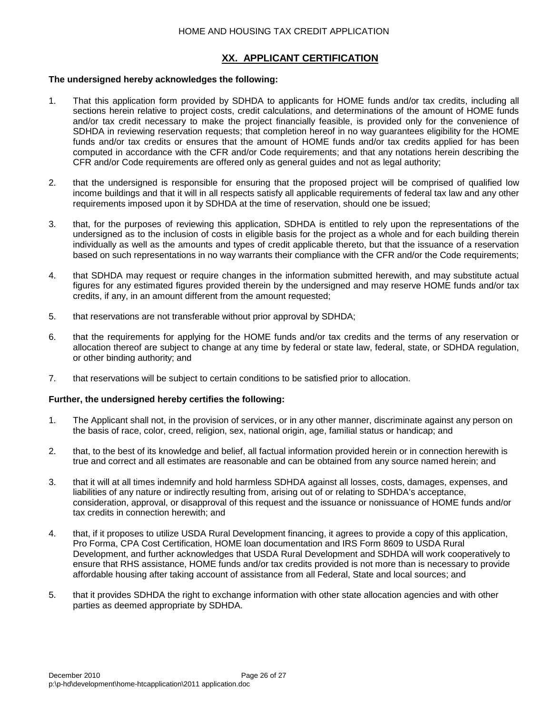## **XX. APPLICANT CERTIFICATION**

#### **The undersigned hereby acknowledges the following:**

- 1. That this application form provided by SDHDA to applicants for HOME funds and/or tax credits, including all sections herein relative to project costs, credit calculations, and determinations of the amount of HOME funds and/or tax credit necessary to make the project financially feasible, is provided only for the convenience of SDHDA in reviewing reservation requests; that completion hereof in no way guarantees eligibility for the HOME funds and/or tax credits or ensures that the amount of HOME funds and/or tax credits applied for has been computed in accordance with the CFR and/or Code requirements; and that any notations herein describing the CFR and/or Code requirements are offered only as general guides and not as legal authority;
- 2. that the undersigned is responsible for ensuring that the proposed project will be comprised of qualified low income buildings and that it will in all respects satisfy all applicable requirements of federal tax law and any other requirements imposed upon it by SDHDA at the time of reservation, should one be issued;
- 3. that, for the purposes of reviewing this application, SDHDA is entitled to rely upon the representations of the undersigned as to the inclusion of costs in eligible basis for the project as a whole and for each building therein individually as well as the amounts and types of credit applicable thereto, but that the issuance of a reservation based on such representations in no way warrants their compliance with the CFR and/or the Code requirements;
- 4. that SDHDA may request or require changes in the information submitted herewith, and may substitute actual figures for any estimated figures provided therein by the undersigned and may reserve HOME funds and/or tax credits, if any, in an amount different from the amount requested;
- 5. that reservations are not transferable without prior approval by SDHDA;
- 6. that the requirements for applying for the HOME funds and/or tax credits and the terms of any reservation or allocation thereof are subject to change at any time by federal or state law, federal, state, or SDHDA regulation, or other binding authority; and
- 7. that reservations will be subject to certain conditions to be satisfied prior to allocation.

#### **Further, the undersigned hereby certifies the following:**

- 1. The Applicant shall not, in the provision of services, or in any other manner, discriminate against any person on the basis of race, color, creed, religion, sex, national origin, age, familial status or handicap; and
- 2. that, to the best of its knowledge and belief, all factual information provided herein or in connection herewith is true and correct and all estimates are reasonable and can be obtained from any source named herein; and
- 3. that it will at all times indemnify and hold harmless SDHDA against all losses, costs, damages, expenses, and liabilities of any nature or indirectly resulting from, arising out of or relating to SDHDA's acceptance, consideration, approval, or disapproval of this request and the issuance or nonissuance of HOME funds and/or tax credits in connection herewith; and
- 4. that, if it proposes to utilize USDA Rural Development financing, it agrees to provide a copy of this application, Pro Forma, CPA Cost Certification, HOME loan documentation and IRS Form 8609 to USDA Rural Development, and further acknowledges that USDA Rural Development and SDHDA will work cooperatively to ensure that RHS assistance, HOME funds and/or tax credits provided is not more than is necessary to provide affordable housing after taking account of assistance from all Federal, State and local sources; and
- 5. that it provides SDHDA the right to exchange information with other state allocation agencies and with other parties as deemed appropriate by SDHDA.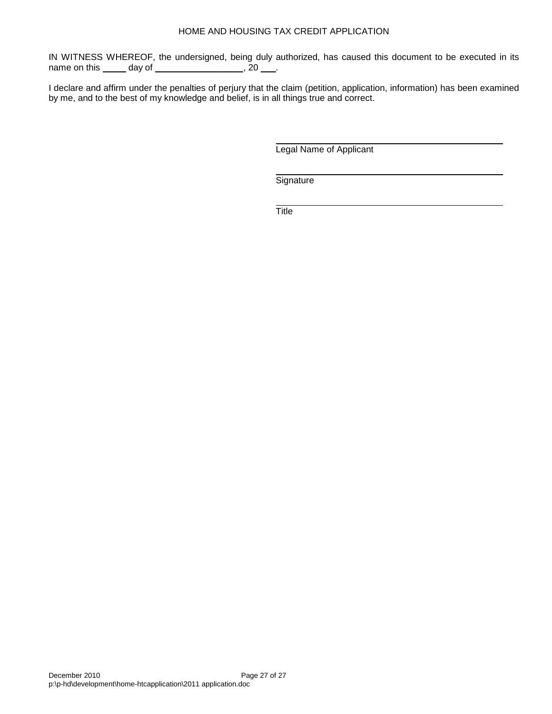IN WITNESS WHEREOF, the undersigned, being duly authorized, has caused this document to be executed in its name on this \_\_\_\_\_ day of \_\_\_\_\_\_\_\_\_\_\_\_\_\_\_\_\_\_, 20 \_\_\_.

I declare and affirm under the penalties of perjury that the claim (petition, application, information) has been examined by me, and to the best of my knowledge and belief, is in all things true and correct.

Legal Name of Applicant

**Signature** 

**Title**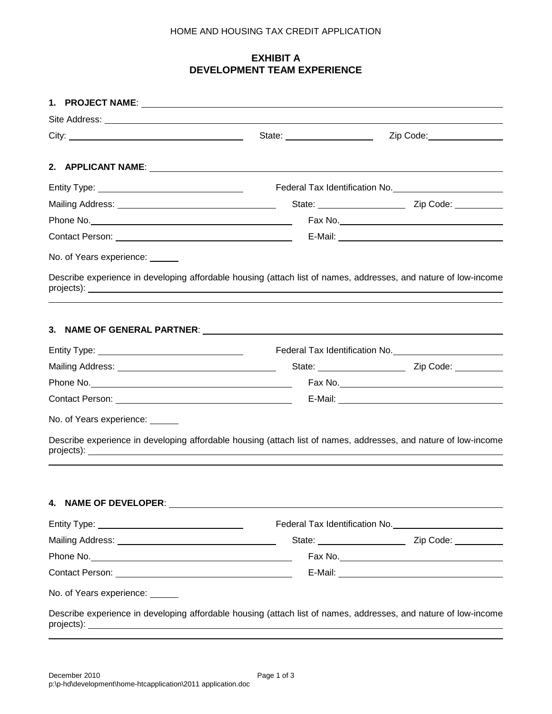## **EXHIBIT A DEVELOPMENT TEAM EXPERIENCE**

|                                 | Site Address: <u>All Andress and All Andress and All Andress and All Andress and All Andress and All Andress and All Andres and All Andres and All Andres and All Andres and All Andres and All Andres and All Andres and All An</u>     |                                             |
|---------------------------------|------------------------------------------------------------------------------------------------------------------------------------------------------------------------------------------------------------------------------------------|---------------------------------------------|
|                                 | State: ______________________                                                                                                                                                                                                            | Zip Code: 2000                              |
|                                 |                                                                                                                                                                                                                                          |                                             |
|                                 |                                                                                                                                                                                                                                          |                                             |
|                                 |                                                                                                                                                                                                                                          | Federal Tax Identification No. 1997 100 100 |
|                                 |                                                                                                                                                                                                                                          | State: <u>Cambridge Zip Code:</u>           |
|                                 |                                                                                                                                                                                                                                          |                                             |
|                                 |                                                                                                                                                                                                                                          |                                             |
| No. of Years experience: ______ |                                                                                                                                                                                                                                          |                                             |
|                                 | Describe experience in developing affordable housing (attach list of names, addresses, and nature of low-income                                                                                                                          |                                             |
|                                 |                                                                                                                                                                                                                                          |                                             |
|                                 |                                                                                                                                                                                                                                          |                                             |
|                                 |                                                                                                                                                                                                                                          |                                             |
|                                 |                                                                                                                                                                                                                                          |                                             |
|                                 |                                                                                                                                                                                                                                          | Federal Tax Identification No. 1997 100 100 |
|                                 |                                                                                                                                                                                                                                          |                                             |
|                                 |                                                                                                                                                                                                                                          |                                             |
|                                 |                                                                                                                                                                                                                                          |                                             |
| No. of Years experience: ______ |                                                                                                                                                                                                                                          |                                             |
|                                 | Describe experience in developing affordable housing (attach list of names, addresses, and nature of low-income                                                                                                                          |                                             |
|                                 |                                                                                                                                                                                                                                          |                                             |
| 4. NAME OF DEVELOPER:           |                                                                                                                                                                                                                                          |                                             |
|                                 |                                                                                                                                                                                                                                          |                                             |
|                                 |                                                                                                                                                                                                                                          |                                             |
|                                 |                                                                                                                                                                                                                                          |                                             |
|                                 |                                                                                                                                                                                                                                          |                                             |
| No. of Years experience: ______ |                                                                                                                                                                                                                                          |                                             |
|                                 |                                                                                                                                                                                                                                          |                                             |
| projects):                      | Describe experience in developing affordable housing (attach list of names, addresses, and nature of low-income<br><u> 1989 - Johann Stoff, deutscher Stoffen und der Stoffen und der Stoffen und der Stoffen und der Stoffen und de</u> |                                             |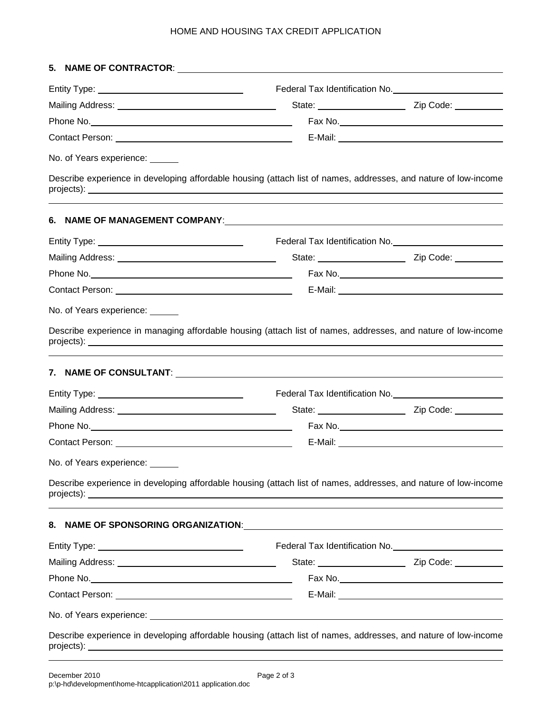| No. of Years experience: _____ |                                                                                                                 |                                    |
|--------------------------------|-----------------------------------------------------------------------------------------------------------------|------------------------------------|
|                                | Describe experience in developing affordable housing (attach list of names, addresses, and nature of low-income |                                    |
|                                |                                                                                                                 |                                    |
|                                |                                                                                                                 |                                    |
|                                |                                                                                                                 |                                    |
|                                |                                                                                                                 |                                    |
|                                |                                                                                                                 |                                    |
| No. of Years experience: _____ |                                                                                                                 |                                    |
|                                |                                                                                                                 |                                    |
|                                |                                                                                                                 |                                    |
|                                |                                                                                                                 |                                    |
|                                |                                                                                                                 |                                    |
| No. of Years experience: _     |                                                                                                                 |                                    |
|                                | Describe experience in developing affordable housing (attach list of names, addresses, and nature of low-income |                                    |
|                                |                                                                                                                 |                                    |
|                                |                                                                                                                 |                                    |
|                                |                                                                                                                 | State: <u>Cambridge City Code:</u> |
|                                |                                                                                                                 |                                    |
|                                |                                                                                                                 |                                    |
|                                |                                                                                                                 |                                    |
|                                | Describe experience in developing affordable housing (attach list of names, addresses, and nature of low-income |                                    |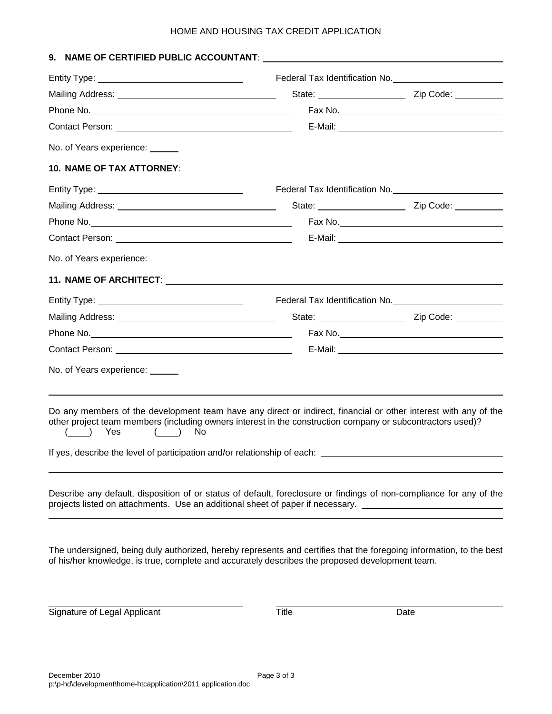|                                                                                                                                                                                                                                                                                                                                           | Federal Tax Identification No. 1997 1997                                                                            |
|-------------------------------------------------------------------------------------------------------------------------------------------------------------------------------------------------------------------------------------------------------------------------------------------------------------------------------------------|---------------------------------------------------------------------------------------------------------------------|
|                                                                                                                                                                                                                                                                                                                                           |                                                                                                                     |
|                                                                                                                                                                                                                                                                                                                                           |                                                                                                                     |
|                                                                                                                                                                                                                                                                                                                                           |                                                                                                                     |
| No. of Years experience: ______                                                                                                                                                                                                                                                                                                           |                                                                                                                     |
|                                                                                                                                                                                                                                                                                                                                           |                                                                                                                     |
|                                                                                                                                                                                                                                                                                                                                           |                                                                                                                     |
|                                                                                                                                                                                                                                                                                                                                           | State: <u>Zip Code:</u>                                                                                             |
|                                                                                                                                                                                                                                                                                                                                           |                                                                                                                     |
|                                                                                                                                                                                                                                                                                                                                           |                                                                                                                     |
| No. of Years experience: ______                                                                                                                                                                                                                                                                                                           |                                                                                                                     |
|                                                                                                                                                                                                                                                                                                                                           |                                                                                                                     |
|                                                                                                                                                                                                                                                                                                                                           |                                                                                                                     |
|                                                                                                                                                                                                                                                                                                                                           |                                                                                                                     |
|                                                                                                                                                                                                                                                                                                                                           |                                                                                                                     |
|                                                                                                                                                                                                                                                                                                                                           |                                                                                                                     |
| No. of Years experience: _____                                                                                                                                                                                                                                                                                                            |                                                                                                                     |
| Do any members of the development team have any direct or indirect, financial or other interest with any of the<br>other project team members (including owners interest in the construction company or subcontractors used)?<br>( ) Yes<br>No.<br>(<br>If yes, describe the level of participation and/or relationship of each: ________ |                                                                                                                     |
|                                                                                                                                                                                                                                                                                                                                           | Describe any default, disposition of or status of default, foreclosure or findings of non-compliance for any of the |

The undersigned, being duly authorized, hereby represents and certifies that the foregoing information, to the best of his/her knowledge, is true, complete and accurately describes the proposed development team.

Signature of Legal Applicant Title Title Date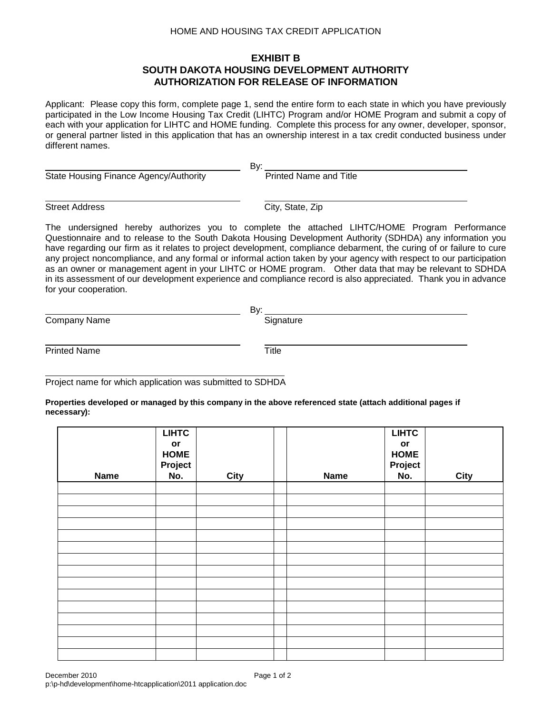## **EXHIBIT B SOUTH DAKOTA HOUSING DEVELOPMENT AUTHORITY AUTHORIZATION FOR RELEASE OF INFORMATION**

Applicant: Please copy this form, complete page 1, send the entire form to each state in which you have previously participated in the Low Income Housing Tax Credit (LIHTC) Program and/or HOME Program and submit a copy of each with your application for LIHTC and HOME funding. Complete this process for any owner, developer, sponsor, or general partner listed in this application that has an ownership interest in a tax credit conducted business under different names.

By:

State Housing Finance Agency/Authority **Printed Name and Title** 

Street Address City, State, Zip

The undersigned hereby authorizes you to complete the attached LIHTC/HOME Program Performance Questionnaire and to release to the South Dakota Housing Development Authority (SDHDA) any information you have regarding our firm as it relates to project development, compliance debarment, the curing of or failure to cure any project noncompliance, and any formal or informal action taken by your agency with respect to our participation as an owner or management agent in your LIHTC or HOME program. Other data that may be relevant to SDHDA in its assessment of our development experience and compliance record is also appreciated. Thank you in advance for your cooperation.

|              | Bv:       |
|--------------|-----------|
| Company Name | Signature |
|              |           |

Printed Name Title

Project name for which application was submitted to SDHDA

**Properties developed or managed by this company in the above referenced state (attach additional pages if necessary):**

| <b>Name</b> | <b>LIHTC</b><br>$\mathop{\sf or}\nolimits$<br><b>HOME</b><br>Project<br>No. | <b>City</b> | <b>Name</b> | <b>LIHTC</b><br>$\mathop{\sf or}\nolimits$<br><b>HOME</b><br>Project<br>No. | <b>City</b> |
|-------------|-----------------------------------------------------------------------------|-------------|-------------|-----------------------------------------------------------------------------|-------------|
|             |                                                                             |             |             |                                                                             |             |
|             |                                                                             |             |             |                                                                             |             |
|             |                                                                             |             |             |                                                                             |             |
|             |                                                                             |             |             |                                                                             |             |
|             |                                                                             |             |             |                                                                             |             |
|             |                                                                             |             |             |                                                                             |             |
|             |                                                                             |             |             |                                                                             |             |
|             |                                                                             |             |             |                                                                             |             |
|             |                                                                             |             |             |                                                                             |             |
|             |                                                                             |             |             |                                                                             |             |
|             |                                                                             |             |             |                                                                             |             |
|             |                                                                             |             |             |                                                                             |             |
|             |                                                                             |             |             |                                                                             |             |
|             |                                                                             |             |             |                                                                             |             |
|             |                                                                             |             |             |                                                                             |             |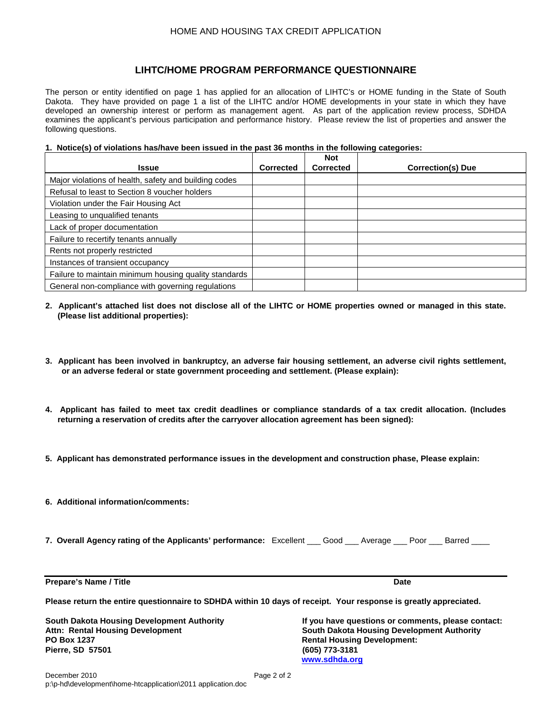#### **LIHTC/HOME PROGRAM PERFORMANCE QUESTIONNAIRE**

The person or entity identified on page 1 has applied for an allocation of LIHTC's or HOME funding in the State of South Dakota. They have provided on page 1 a list of the LIHTC and/or HOME developments in your state in which they have developed an ownership interest or perform as management agent. As part of the application review process, SDHDA examines the applicant's pervious participation and performance history. Please review the list of properties and answer the following questions.

#### **1. Notice(s) of violations has/have been issued in the past 36 months in the following categories:**

| <b>Issue</b>                                          | <b>Corrected</b> | <b>Not</b><br><b>Corrected</b> | <b>Correction(s) Due</b> |
|-------------------------------------------------------|------------------|--------------------------------|--------------------------|
| Major violations of health, safety and building codes |                  |                                |                          |
| Refusal to least to Section 8 youcher holders         |                  |                                |                          |
| Violation under the Fair Housing Act                  |                  |                                |                          |
| Leasing to unqualified tenants                        |                  |                                |                          |
| Lack of proper documentation                          |                  |                                |                          |
| Failure to recertify tenants annually                 |                  |                                |                          |
| Rents not properly restricted                         |                  |                                |                          |
| Instances of transient occupancy                      |                  |                                |                          |
| Failure to maintain minimum housing quality standards |                  |                                |                          |
| General non-compliance with governing regulations     |                  |                                |                          |

- **2. Applicant's attached list does not disclose all of the LIHTC or HOME properties owned or managed in this state. (Please list additional properties):**
- **3. Applicant has been involved in bankruptcy, an adverse fair housing settlement, an adverse civil rights settlement, or an adverse federal or state government proceeding and settlement. (Please explain):**
- **4. Applicant has failed to meet tax credit deadlines or compliance standards of a tax credit allocation. (Includes returning a reservation of credits after the carryover allocation agreement has been signed):**
- **5. Applicant has demonstrated performance issues in the development and construction phase, Please explain:**
- **6. Additional information/comments:**
- **7. Overall Agency rating of the Applicants' performance:** Excellent \_\_\_ Good \_\_\_ Average \_\_\_ Poor \_\_\_ Barred \_\_\_\_

**Prepare's Name / Title Date** Date **Date** Date **Date** Date **Date** Date **Date** Date

**Please return the entire questionnaire to SDHDA within 10 days of receipt. Your response is greatly appreciated.**

**PO Box 1237 Rental Housing Development: Pierre, SD 57501** 

**South Dakota Housing Development Authority If you have questions or comments, please contact: Attn: Rental Housing Development South Dakota Housing Development Authority [www.sdhda.org](http://www.sdhda.org/)**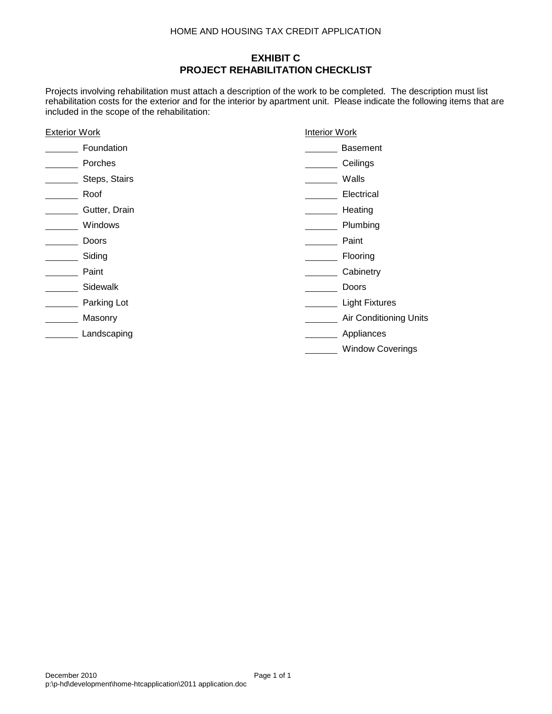## **EXHIBIT C PROJECT REHABILITATION CHECKLIST**

Projects involving rehabilitation must attach a description of the work to be completed. The description must list rehabilitation costs for the exterior and for the interior by apartment unit. Please indicate the following items that are included in the scope of the rehabilitation:

| <b>Exterior Work</b> |               | <b>Interior Work</b> |                         |
|----------------------|---------------|----------------------|-------------------------|
|                      | Foundation    |                      | <b>Basement</b>         |
|                      | Porches       |                      | Ceilings                |
|                      | Steps, Stairs |                      | Walls                   |
|                      | Roof          |                      | Electrical              |
|                      | Gutter, Drain |                      | Heating                 |
|                      | Windows       |                      | Plumbing                |
|                      | Doors         |                      | Paint                   |
|                      | Siding        |                      | Flooring                |
|                      | Paint         |                      | Cabinetry               |
|                      | Sidewalk      |                      | Doors                   |
|                      | Parking Lot   |                      | <b>Light Fixtures</b>   |
|                      | Masonry       |                      | Air Conditioning Units  |
|                      | Landscaping   |                      | Appliances              |
|                      |               |                      | <b>Window Coverings</b> |
|                      |               |                      |                         |